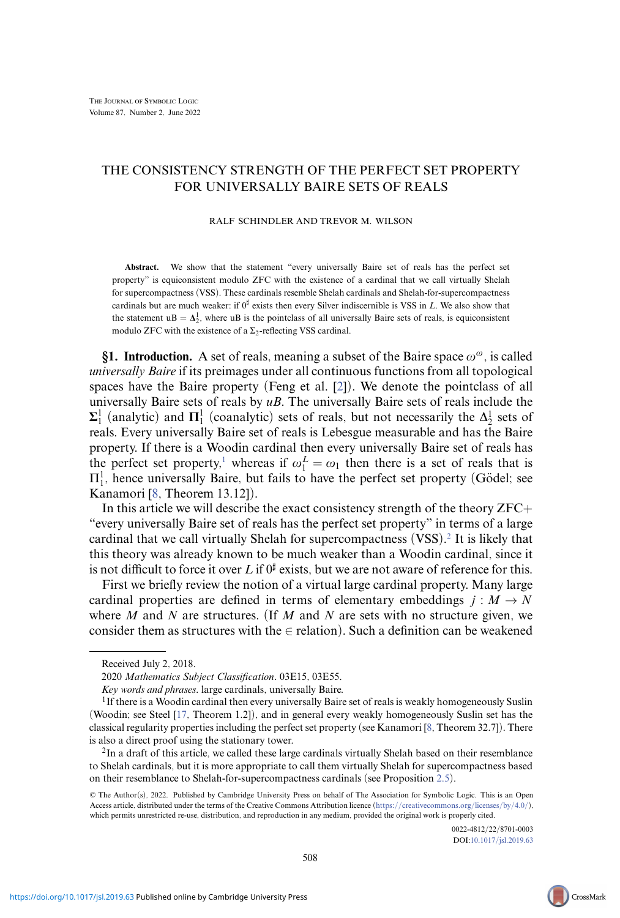## THE CONSISTENCY STRENGTH OF THE PERFECT SET PROPERTY FOR UNIVERSALLY BAIRE SETS OF REALS

## RALF SCHINDLER AND TREVOR M. WILSON

**Abstract.** We show that the statement "every universally Baire set of reals has the perfect set property" is equiconsistent modulo ZFC with the existence of a cardinal that we call virtually Shelah for supercompactness (VSS). These cardinals resemble Shelah cardinals and Shelah-for-supercompactness cardinals but are much weaker: if  $0^{\sharp}$  exists then every Silver indiscernible is VSS in *L*. We also show that the statement  $uB = \Delta_2^1$ , where  $uB$  is the pointclass of all universally Baire sets of reals, is equiconsistent modulo ZFC with the existence of a  $\Sigma_2$ -reflecting VSS cardinal.

<span id="page-0-2"></span>**§1. Introduction.** A set of reals, meaning a subset of the Baire space  $\omega^{\omega}$ , is called *universally Baire* if its preimages under all continuous functions from all topological spaces have the Baire property (Feng et al. [\[2\]](#page-17-0)). We denote the pointclass of all universally Baire sets of reals by *uB*. The universally Baire sets of reals include the  $\Sigma_1^1$  (analytic) and  $\Pi_1^1$  (coanalytic) sets of reals, but not necessarily the  $\Delta_2^1$  sets of reals. Every universally Baire set of reals is Lebesgue measurable and has the Baire property. If there is a Woodin cardinal then every universally Baire set of reals has the perfect set property,<sup>1</sup> whereas if  $\omega_1^L = \omega_1$  then there is a set of reals that is  $\Pi_1^1$ , hence universally Baire, but fails to have the perfect set property (Gödel; see Kanamori [\[8,](#page-18-0) Theorem 13.12]).

In this article we will describe the exact consistency strength of the theory  $ZFC+$ "every universally Baire set of reals has the perfect set property" in terms of a large cardinal that we call virtually Shelah for supercompactness (VSS)[.2](#page-0-1) It is likely that this theory was already known to be much weaker than a Woodin cardinal, since it is not difficult to force it over *L* if  $0^{\sharp}$  exists, but we are not aware of reference for this.

First we briefly review the notion of a virtual large cardinal property. Many large cardinal properties are defined in terms of elementary embeddings  $j : M \to N$ where *M* and *N* are structures. (If *M* and *N* are sets with no structure given, we consider them as structures with the  $\in$  relation). Such a definition can be weakened

Received July 2, 2018.

*<sup>2020</sup> Mathematics Subject Classification.* 03E15, 03E55.

<span id="page-0-0"></span>*Key words and phrases.* large cardinals, universally Baire.

<sup>&</sup>lt;sup>1</sup>If there is a Woodin cardinal then every universally Baire set of reals is weakly homogeneously Suslin (Woodin; see Steel [\[17,](#page-18-1) Theorem 1.2]), and in general every weakly homogeneously Suslin set has the classical regularity properties including the perfect set property (see Kanamori [\[8,](#page-18-0) Theorem 32.7]). There is also a direct proof using the stationary tower.

<span id="page-0-1"></span><sup>2</sup>In a draft of this article, we called these large cardinals virtually Shelah based on their resemblance to Shelah cardinals, but it is more appropriate to call them virtually Shelah for supercompactness based on their resemblance to Shelah-for-supercompactness cardinals (see Proposition [2.5\)](#page-4-0).

<sup>©</sup> The Author(s), 2022. Published by Cambridge University Press on behalf of The Association for Symbolic Logic. This is an Open Access article, distributed under the terms of the Creative Commons Attribution licence [\(https://creativecommons.org/licenses/by/4.0/\)](https://creativecommons.org/licenses/by/4.0/), which permits unrestricted re-use, distribution, and reproduction in any medium, provided the original work is properly cited.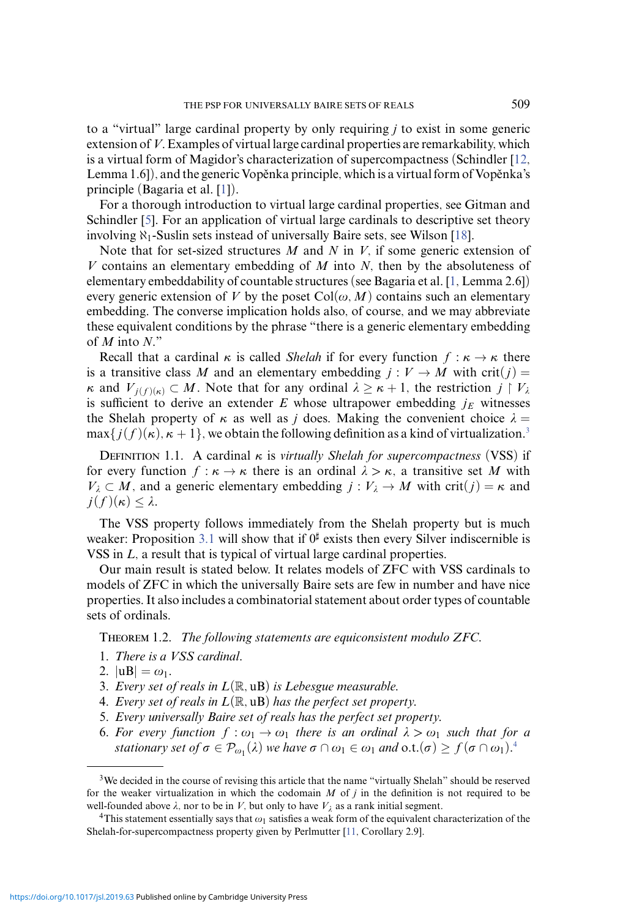to a "virtual" large cardinal property by only requiring *j* to exist in some generic extension of *V*. Examples of virtual large cardinal properties are remarkability, which is a virtual form of Magidor's characterization of supercompactness (Schindler [\[12,](#page-18-2) Lemma  $1.6$ ]), and the generic Vopenka principle, which is a virtual form of Vopenka's principle (Bagaria et al. [\[1\]](#page-17-1)).

For a thorough introduction to virtual large cardinal properties, see Gitman and Schindler [\[5\]](#page-17-2). For an application of virtual large cardinals to descriptive set theory involving  $\aleph_1$ -Suslin sets instead of universally Baire sets, see Wilson [\[18\]](#page-18-3).

Note that for set-sized structures *M* and *N* in *V*, if some generic extension of *V* contains an elementary embedding of *M* into *N*, then by the absoluteness of elementary embeddability of countable structures (see Bagaria et al. [\[1,](#page-17-1) Lemma 2.6]) every generic extension of *V* by the poset  $Col(\omega, M)$  contains such an elementary embedding. The converse implication holds also, of course, and we may abbreviate these equivalent conditions by the phrase "there is a generic elementary embedding of  $M$  into  $N$ ."

Recall that a cardinal  $\kappa$  is called *Shelah* if for every function  $f : \kappa \to \kappa$  there is a transitive class *M* and an elementary embedding  $j: V \to M$  with crit(*j*) = *κ* and  $V_{j(f)(\kappa)} \subset M$ . Note that for any ordinal  $\lambda \geq \kappa + 1$ , the restriction  $j \restriction V_{\lambda}$ is sufficient to derive an extender  $E$  whose ultrapower embedding  $j_E$  witnesses the Shelah property of  $\kappa$  as well as *j* does. Making the convenient choice  $\lambda =$  $\max\{j(f)(\kappa), \kappa+1\}$ , we obtain the following definition as a kind of virtualization.<sup>3</sup>

<span id="page-1-3"></span>Definition 1.1. A cardinal *κ* is *virtually Shelah for supercompactness* (VSS) if for every function  $f : \kappa \to \kappa$  there is an ordinal  $\lambda > \kappa$ , a transitive set *M* with *V*<sub> $\lambda$ </sub>  $\subset$  *M*, and a generic elementary embedding *j* : *V*<sub> $\lambda$ </sub>  $\rightarrow$  *M* with crit(*j*) = *κ* and  $j(f)(\kappa) < \lambda$ .

The VSS property follows immediately from the Shelah property but is much weaker: Proposition [3.1](#page-6-0) will show that if  $0^{\sharp}$  exists then every Silver indiscernible is VSS in *L*, a result that is typical of virtual large cardinal properties.

Our main result is stated below. It relates models of ZFC with VSS cardinals to models of ZFC in which the universally Baire sets are few in number and have nice properties. It also includes a combinatorial statement about order types of countable sets of ordinals.

<span id="page-1-2"></span>Theorem 1.2. *The following statements are equiconsistent modulo ZFC.*

- 1. *There is a VSS cardinal.*
- 2.  $|uB| = \omega_1$ .
- 3. *Every set of reals in L*(R*,* uB) *is Lebesgue measurable.*
- 4. *Every set of reals in L*(R*,* uB) *has the perfect set property.*
- 5. *Every universally Baire set of reals has the perfect set property.*
- 6. For every function  $f: \omega_1 \to \omega_1$  there is an ordinal  $\lambda > \omega_1$  such that for a *stationary set of*  $\sigma \in \mathcal{P}_{\omega_1}(\lambda)$  *we have*  $\sigma \cap \omega_1 \in \omega_1$  *and*  $\text{o.t.}(\sigma) \geq f(\sigma \cap \omega_1)$ .<sup>[4](#page-1-1)</sup>

<span id="page-1-0"></span> $3$ We decided in the course of revising this article that the name "virtually Shelah" should be reserved for the weaker virtualization in which the codomain *M* of *j* in the definition is not required to be well-founded above  $\lambda$ , nor to be in *V*, but only to have  $V_{\lambda}$  as a rank initial segment.<br><sup>4</sup>This statement essentially says that  $\omega_1$  satisfies a weak form of the equivalent characterization of the

<span id="page-1-1"></span>Shelah-for-supercompactness property given by Perlmutter [\[11,](#page-18-4) Corollary 2.9].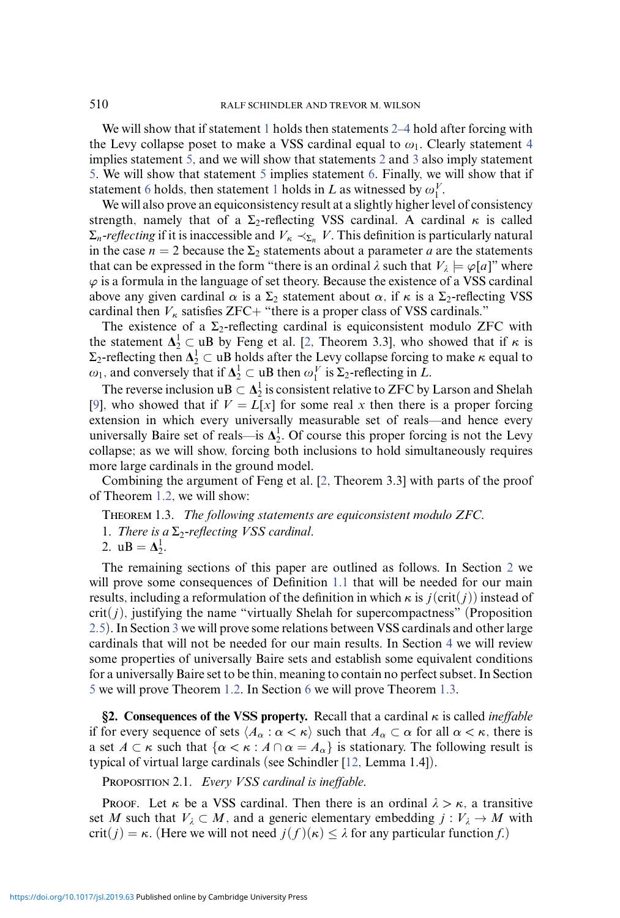We will show that if statement [1](#page-0-2) holds then statements [2–4](#page-0-2) hold after forcing with the Levy collapse poset to make a VSS cardinal equal to  $\omega_1$ . Clearly statement [4](#page-0-2) implies statement [5,](#page-0-2) and we will show that statements [2](#page-0-2) and [3](#page-0-2) also imply statement [5.](#page-0-2) We will show that statement [5](#page-0-2) implies statement [6.](#page-0-2) Finally, we will show that if statement [6](#page-0-2) holds, then statement [1](#page-0-2) holds in *L* as witnessed by  $\omega_1^V$ .

We will also prove an equiconsistency result at a slightly higher level of consistency strength, namely that of a  $\Sigma_2$ -reflecting VSS cardinal. A cardinal  $\kappa$  is called  $\Sigma_n$ *-reflecting* if it is inaccessible and  $V_\kappa \prec_{\Sigma_n} V$ . This definition is particularly natural in the case  $n = 2$  because the  $\Sigma_2$  statements about a parameter *a* are the statements that can be expressed in the form "there is an ordinal  $\lambda$  such that  $V_{\lambda} \models \varphi[a]$ " where  $\varphi$  is a formula in the language of set theory. Because the existence of a VSS cardinal above any given cardinal  $\alpha$  is a  $\Sigma_2$  statement about  $\alpha$ , if  $\kappa$  is a  $\Sigma_2$ -reflecting VSS cardinal then  $V_{\kappa}$  satisfies ZFC+ "there is a proper class of VSS cardinals."

The existence of a  $\Sigma_2$ -reflecting cardinal is equiconsistent modulo ZFC with the statement  $\Delta_2^1 \subset \mathbf{u}$ B by Feng et al. [\[2,](#page-17-0) Theorem 3.3], who showed that if  $\kappa$  is  $Σ<sub>2</sub>$ -reflecting then  $Δ<sub>2</sub><sup>1</sup> ⊂$  uB holds after the Levy collapse forcing to make *κ* equal to  $ω_1$ , and conversely that if  $Δ_2^1$  ⊂ uB then  $ω_1^V$  is Σ<sub>2</sub>-reflecting in *L*.

The reverse inclusion  $uB \subset \Delta_2^1$  is consistent relative to ZFC by Larson and Shelah [\[9\]](#page-18-5), who showed that if  $V = L[x]$  for some real x then there is a proper forcing extension in which every universally measurable set of reals—and hence every universally Baire set of reals—is  $\Delta_2^1$ . Of course this proper forcing is not the Levy collapse; as we will show, forcing both inclusions to hold simultaneously requires more large cardinals in the ground model.

Combining the argument of Feng et al. [\[2,](#page-17-0) Theorem 3.3] with parts of the proof of Theorem [1.2,](#page-1-2) we will show:

<span id="page-2-1"></span>Theorem 1.3. *The following statements are equiconsistent modulo ZFC.*

1. *There is a*  $\Sigma$ <sub>2</sub>-reflecting *VSS cardinal*.

2.  $uB = \Delta_2^1$ .

The remaining sections of this paper are outlined as follows. In Section [2](#page-2-0) we will prove some consequences of Definition [1.1](#page-1-3) that will be needed for our main results, including a reformulation of the definition in which  $\kappa$  is  $j$ (crit( $j$ )) instead of  $crit(j)$ , justifying the name "virtually Shelah for supercompactness" (Proposition [2.5\)](#page-4-0). In Section [3](#page-6-1) we will prove some relations between VSS cardinals and other large cardinals that will not be needed for our main results. In Section [4](#page-9-0) we will review some properties of universally Baire sets and establish some equivalent conditions for a universally Baire set to be thin, meaning to contain no perfect subset. In Section [5](#page-11-0) we will prove Theorem [1.2.](#page-1-2) In Section [6](#page-16-0) we will prove Theorem [1.3.](#page-2-1)

<span id="page-2-0"></span>**§2. Consequences of the VSS property.** Recall that a cardinal *κ* is called *ineffable* if for every sequence of sets  $\langle A_\alpha : \alpha < \kappa \rangle$  such that  $A_\alpha \subset \alpha$  for all  $\alpha < \kappa$ , there is a set  $A \subset \kappa$  such that  $\{\alpha < \kappa : A \cap \alpha = A_\alpha\}$  is stationary. The following result is typical of virtual large cardinals (see Schindler [\[12,](#page-18-2) Lemma 1.4]).

<span id="page-2-2"></span>Proposition 2.1. *Every VSS cardinal is ineffable.*

Proof. Let  $\kappa$  be a VSS cardinal. Then there is an ordinal  $\lambda > \kappa$ , a transitive set *M* such that  $V_{\lambda} \subset M$ , and a generic elementary embedding  $j : V_{\lambda} \to M$  with crit( $j$ ) =  $\kappa$ . (Here we will not need  $j(f)(\kappa) \leq \lambda$  for any particular function  $f$ .)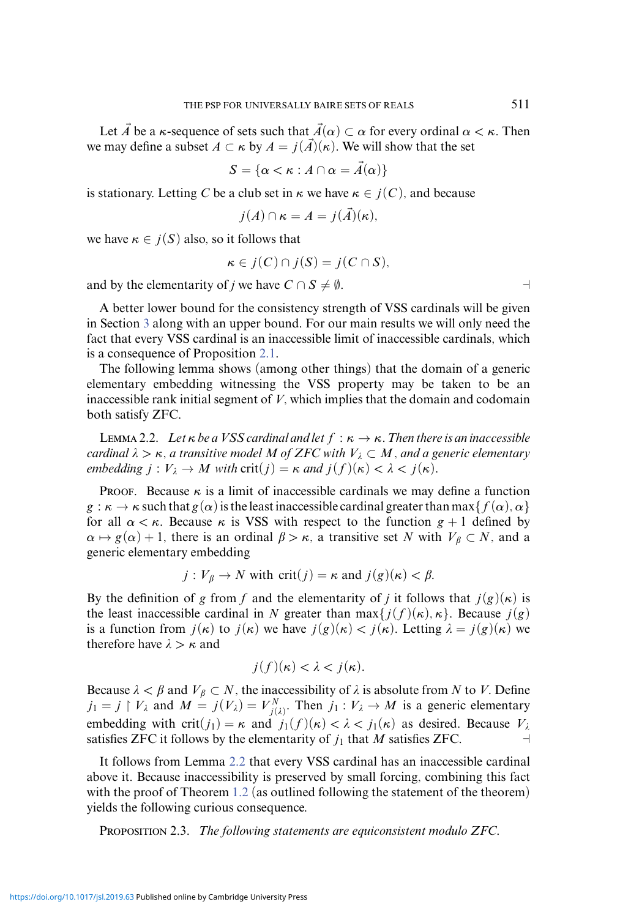Let *A* be a *κ*-sequence of sets such that  $A(\alpha) \subset \alpha$  for every ordinal  $\alpha < \kappa$ . Then we may define a subset  $A \subset \kappa$  by  $A = j(A)(\kappa)$ . We will show that the set

$$
S = \{ \alpha < \kappa : A \cap \alpha = A(\alpha) \}
$$

is stationary. Letting *C* be a club set in  $\kappa$  we have  $\kappa \in j(C)$ , and because

$$
j(A) \cap \kappa = A = j(A)(\kappa),
$$

we have  $\kappa \in j(S)$  also, so it follows that

$$
\kappa \in j(C) \cap j(S) = j(C \cap S),
$$

and by the elementarity of *j* we have  $C \cap S \neq \emptyset$ .

A better lower bound for the consistency strength of VSS cardinals will be given in Section [3](#page-6-1) along with an upper bound. For our main results we will only need the fact that every VSS cardinal is an inaccessible limit of inaccessible cardinals, which is a consequence of Proposition [2.1.](#page-2-2)

The following lemma shows (among other things) that the domain of a generic elementary embedding witnessing the VSS property may be taken to be an inaccessible rank initial segment of *V*, which implies that the domain and codomain both satisfy ZFC.

<span id="page-3-0"></span>**LEMMA 2.2.** *Let*  $\kappa$  *be a VSS cardinal and let*  $f : \kappa \to \kappa$ *. Then there is an inaccessible cardinal*  $\lambda > \kappa$ , *a transitive model M of ZFC with*  $V_{\lambda} \subset M$ , *and a generic elementary embedding*  $j: V_{\lambda} \to M$  *with*  $\text{crit}(j) = \kappa$  *and*  $j(f)(\kappa) < \lambda < j(\kappa)$ *.* 

**PROOF.** Because  $\kappa$  is a limit of inaccessible cardinals we may define a function  $g : \kappa \to \kappa$  such that  $g(\alpha)$  is the least inaccessible cardinal greater than max  $f(\alpha), \alpha$ for all  $\alpha < \kappa$ . Because  $\kappa$  is VSS with respect to the function  $g + 1$  defined by  $\alpha \mapsto g(\alpha) + 1$ , there is an ordinal  $\beta > \kappa$ , a transitive set *N* with  $V_\beta \subset N$ , and a generic elementary embedding

$$
j: V_{\beta} \to N
$$
 with  $crit(j) = \kappa$  and  $j(g)(\kappa) < \beta$ .

By the definition of *g* from *f* and the elementarity of *j* it follows that  $j(g)(\kappa)$  is the least inaccessible cardinal in *N* greater than  $\max\{j(f)(\kappa), \kappa\}$ . Because  $j(g)$ is a function from  $j(\kappa)$  to  $j(\kappa)$  we have  $j(g)(\kappa) < j(\kappa)$ . Letting  $\lambda = j(g)(\kappa)$  we therefore have  $\lambda > \kappa$  and

$$
j(f)(\kappa) < \lambda < j(\kappa).
$$

Because  $\lambda < \beta$  and  $V_{\beta} \subset N$ , the inaccessibility of  $\lambda$  is absolute from N to V. Define  $j_1 = j \restriction V_\lambda$  and  $M = j(V_\lambda) = V_{j(\lambda)}^N$ . Then  $j_1 : V_\lambda \to M$  is a generic elementary embedding with crit( $j_1$ ) =  $\kappa$  and  $j_1(f)(\kappa) < \lambda < j_1(\kappa)$  as desired. Because  $V_{\lambda}$  satisfies ZFC if follows by the elementarity of  $j_1$  that M satisfies ZFC. satisfies ZFC it follows by the elementarity of  $j_1$  that  $M$  satisfies ZFC.

It follows from Lemma [2.2](#page-3-0) that every VSS cardinal has an inaccessible cardinal above it. Because inaccessibility is preserved by small forcing, combining this fact with the proof of Theorem [1.2](#page-1-2) (as outlined following the statement of the theorem) yields the following curious consequence.

Proposition 2.3. *The following statements are equiconsistent modulo ZFC.*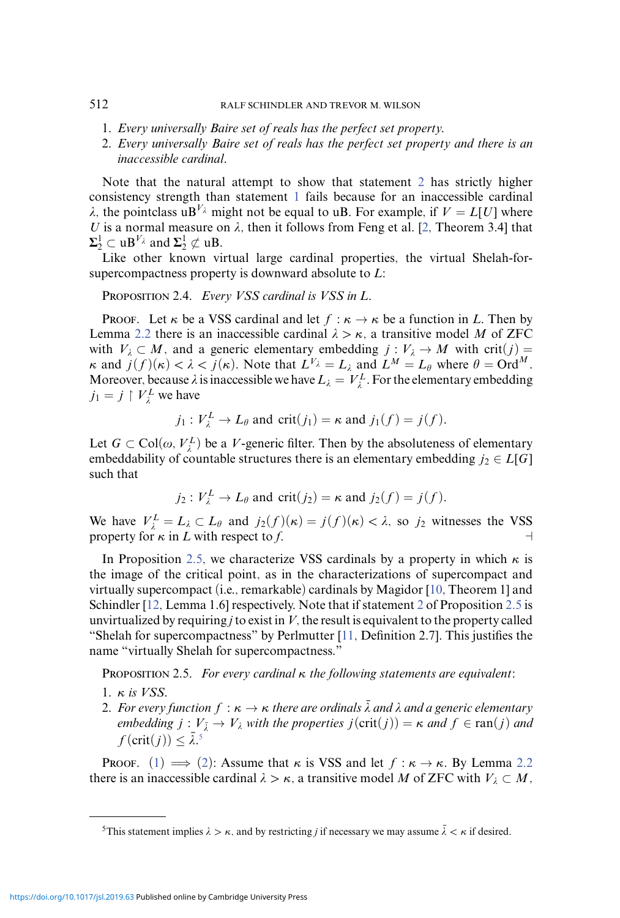## 512 RALF SCHINDLER AND TREVOR M. WILSON

- 1. *Every universally Baire set of reals has the perfect set property.*
- 2. *Every universally Baire set of reals has the perfect set property and there is an inaccessible cardinal.*

Note that the natural attempt to show that statement [2](#page-2-0) has strictly higher consistency strength than statement [1](#page-2-0) fails because for an inaccessible cardinal  $\lambda$ , the pointclass uB<sup>V<sub> $\lambda$ </sub> might not be equal to uB. For example, if  $V = L[U]$  where</sup> *U* is a normal measure on  $\lambda$ , then it follows from Feng et al. [\[2,](#page-17-0) Theorem 3.4] that  $\Sigma^1_2 \subset uB^{V_\lambda}$  and  $\Sigma^1_2 \not\subset uB$ .

Like other known virtual large cardinal properties, the virtual Shelah-forsupercompactness property is downward absolute to *L*:

<span id="page-4-2"></span>Proposition 2.4. *Every VSS cardinal is VSS in L.*

PROOF. Let  $\kappa$  be a VSS cardinal and let  $f : \kappa \to \kappa$  be a function in *L*. Then by Lemma [2.2](#page-3-0) there is an inaccessible cardinal  $\lambda > \kappa$ , a transitive model *M* of ZFC with  $V_{\lambda} \subset M$ , and a generic elementary embedding  $j : V_{\lambda} \to M$  with crit $(j)$  = *κ* and  $j(f)(\kappa) < \lambda < j(\kappa)$ . Note that  $L^{V_{\lambda}} = L_{\lambda}$  and  $L^M = L_{\theta}$  where  $\theta = \text{Ord}^M$ . Moreover, because  $\lambda$  is inaccessible we have  $L_{\lambda} = V_{\lambda}^{L}$ . For the elementary embedding  $j_1 = j \restriction V^L_{\lambda}$  we have

$$
j_1: V^L_\lambda \to L_\theta
$$
 and  $crit(j_1) = \kappa$  and  $j_1(f) = j(f)$ .

Let  $G \subset \text{Col}(\omega, V_{\lambda}^L)$  be a *V*-generic filter. Then by the absoluteness of elementary embeddability of countable structures there is an elementary embedding  $j_2 \in L[G]$ such that

$$
j_2: V_\lambda^L \to L_\theta
$$
 and  $crit(j_2) = \kappa$  and  $j_2(f) = j(f)$ .

We have  $V_{\lambda}^{L} = L_{\lambda} \subset L_{\theta}$  and  $j_2(f)(\kappa) = j(f)(\kappa) < \lambda$ , so  $j_2$  witnesses the VSS property for  $\kappa$  in *L* with respect to *f*.

In Proposition [2.5,](#page-4-0) we characterize VSS cardinals by a property in which  $\kappa$  is the image of the critical point, as in the characterizations of supercompact and virtually supercompact (i.e., remarkable) cardinals by Magidor [\[10,](#page-18-6) Theorem 1] and Schindler [\[12,](#page-18-2) Lemma 1.6] respectively. Note that if statement [2](#page-2-0) of Proposition [2.5](#page-4-0) is unvirtualized by requiring  $j$  to exist in  $V$ , the result is equivalent to the property called "Shelah for supercompactness" by Perlmutter [\[11,](#page-18-4) Definition 2.7]. This justifies the name "virtually Shelah for supercompactness."

<span id="page-4-0"></span>Proposition 2.5. *For every cardinal κ the following statements are equivalent:*

- 1. *κ is VSS.*
- $2.$  *For every function*  $f : \kappa \to \kappa$  *there are ordinals*  $\lambda$  *and*  $\lambda$  *and a generic elementary embedding*  $j: V_{\bar{\lambda}} \to V_{\lambda}$  *with the properties*  $j(\text{crit}(j)) = \kappa$  *and*  $f \in \text{ran}(j)$  *and*  $f(\text{crit}(j)) \leq \lambda$ <sup>[5](#page-4-1)</sup>

Proof. [\(1\)](#page-2-0)  $\implies$  [\(2\)](#page-2-0): Assume that  $\kappa$  is VSS and let  $f : \kappa \to \kappa$ . By Lemma [2.2](#page-3-0) there is an inaccessible cardinal  $\lambda > \kappa$ , a transitive model *M* of ZFC with  $V_{\lambda} \subset M$ ,

<https://doi.org/10.1017/jsl.2019.63> Published online by Cambridge University Press

<span id="page-4-1"></span><sup>&</sup>lt;sup>5</sup>This statement implies  $\lambda > \kappa$ , and by restricting *j* if necessary we may assume  $\bar{\lambda} < \kappa$  if desired.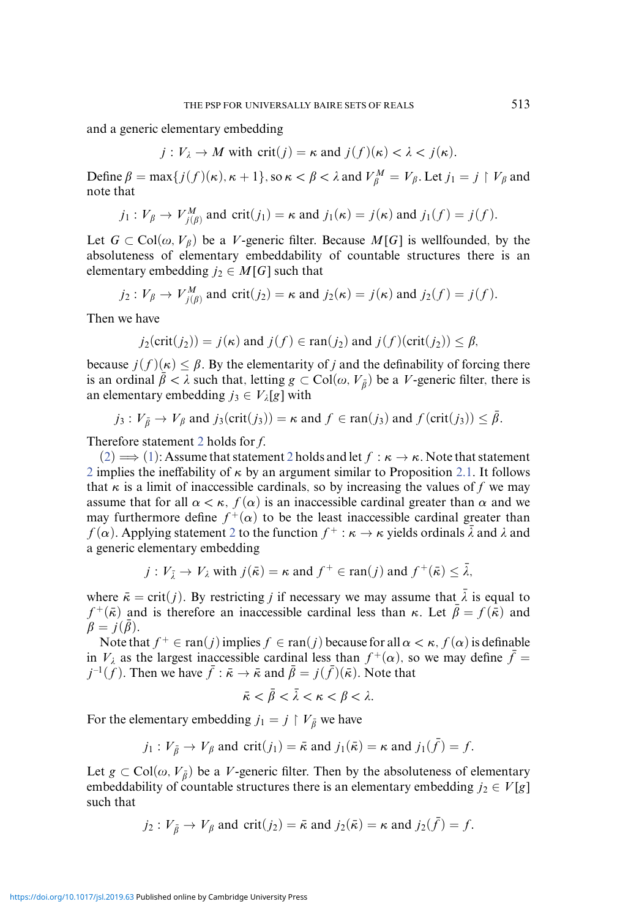and a generic elementary embedding

$$
j: V_{\lambda} \to M \text{ with } \text{crit}(j) = \kappa \text{ and } j(f)(\kappa) < \lambda < j(\kappa).
$$

Define  $\beta = \max\{j(f)(\kappa), \kappa + 1\}$ , so  $\kappa < \beta < \lambda$  and  $V_{\beta}^M = V_{\beta}$ . Let  $j_1 = j \restriction V_{\beta}$  and note that

$$
j_1: V_\beta \to V_{j(\beta)}^M
$$
 and  $crit(j_1) = \kappa$  and  $j_1(\kappa) = j(\kappa)$  and  $j_1(f) = j(f)$ .

Let  $G \subset \text{Col}(\omega, V_\beta)$  be a *V*-generic filter. Because  $M[G]$  is wellfounded, by the absoluteness of elementary embeddability of countable structures there is an elementary embedding  $j_2 \in M[G]$  such that

$$
j_2: V_\beta \to V_{j(\beta)}^M
$$
 and  $crit(j_2) = \kappa$  and  $j_2(\kappa) = j(\kappa)$  and  $j_2(f) = j(f)$ .

Then we have

$$
j_2(\text{crit}(j_2)) = j(\kappa)
$$
 and  $j(f) \in \text{ran}(j_2)$  and  $j(f)(\text{crit}(j_2)) \leq \beta$ ,

because  $j(f)(\kappa) \leq \beta$ . By the elementarity of *j* and the definability of forcing there is an ordinal  $\bar{\beta} < \lambda$  such that, letting  $g \subset \text{Col}(\omega, V_{\bar{g}})$  be a *V*-generic filter, there is an elementary embedding  $j_3 \in V_{\lambda}[g]$  with

$$
j_3: V_{\bar{\beta}} \to V_{\beta}
$$
 and  $j_3(crit(j_3)) = \kappa$  and  $f \in ran(j_3)$  and  $f(crit(j_3)) \leq \beta$ .

Therefore statement [2](#page-2-0) holds for *f*.

 $(2) \implies (1)$  $(2) \implies (1)$  $(2) \implies (1)$ : Assume that statement [2](#page-2-0) holds and let  $f : \kappa \to \kappa$ . Note that statement [2](#page-2-0) implies the ineffability of *κ* by an argument similar to Proposition [2.1.](#page-2-2) It follows that  $\kappa$  is a limit of inaccessible cardinals, so by increasing the values of f we may assume that for all  $\alpha < \kappa$ ,  $f(\alpha)$  is an inaccessible cardinal greater than  $\alpha$  and we may furthermore define  $f^+(\alpha)$  to be the least inaccessible cardinal greater than  $f(\alpha)$ . Applying statement [2](#page-2-0) to the function  $f^+ : \kappa \to \kappa$  yields ordinals  $\bar{\lambda}$  and  $\lambda$  and a generic elementary embedding

$$
j: V_{\bar{\lambda}} \to V_{\lambda}
$$
 with  $j(\bar{\kappa}) = \kappa$  and  $f^+ \in \text{ran}(j)$  and  $f^+(\bar{\kappa}) \leq \bar{\lambda}$ ,

where  $\bar{\kappa} = \text{crit}(j)$ . By restricting *j* if necessary we may assume that  $\lambda$  is equal to *f*<sup>+</sup>( $\bar{\kappa}$ ) and is therefore an inaccessible cardinal less than  $\kappa$ . Let  $\bar{\beta} = f(\bar{\kappa})$  and  $\beta = i(\beta)$ .

Note that  $f^+ \in \text{ran}(j)$  implies  $f \in \text{ran}(j)$  because for all  $\alpha < \kappa$ ,  $f(\alpha)$  is definable in *V*<sub> $\lambda$ </sub> as the largest inaccessible cardinal less than  $f^+(\alpha)$ , so we may define  $\bar{f}$  = *j*<sup>-1</sup>(*f*). Then we have  $\bar{f}: \bar{\kappa} \to \bar{\kappa}$  and  $\bar{\beta} = j(\bar{f})(\bar{\kappa})$ . Note that

$$
\bar{\kappa} < \beta < \lambda < \kappa < \beta < \lambda.
$$

For the elementary embedding  $j_1 = j \restriction V_{\bar{\beta}}$  we have

$$
j_1: V_{\bar{\beta}} \to V_{\beta}
$$
 and  $crit(j_1) = \bar{\kappa}$  and  $j_1(\bar{\kappa}) = \kappa$  and  $j_1(f) = f$ .

Let  $g \subset \text{Col}(\omega, V_{\overline{\beta}})$  be a *V*-generic filter. Then by the absoluteness of elementary embeddability of countable structures there is an elementary embedding  $j_2 \in V[g]$ such that

$$
j_2: V_{\bar{\beta}} \to V_{\beta}
$$
 and  $crit(j_2) = \bar{\kappa}$  and  $j_2(\bar{\kappa}) = \kappa$  and  $j_2(f) = f$ .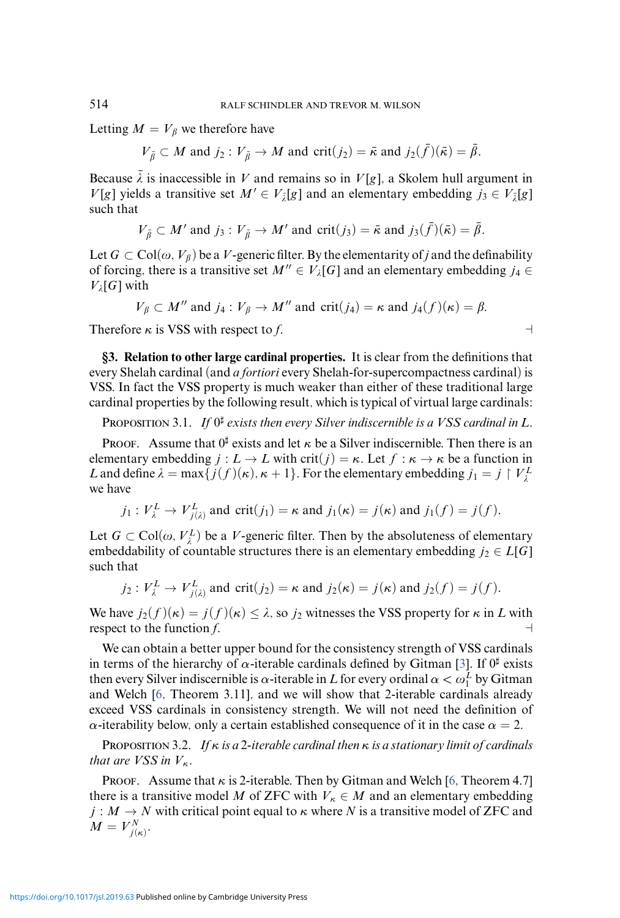Letting  $M = V_\beta$  we therefore have

 $V_{\bar{R}} \subset M$  and  $j_2 : V_{\bar{R}} \to M$  and crit $(j_2) = \bar{\kappa}$  and  $j_2(\bar{f})(\bar{\kappa}) = \bar{\beta}$ .

Because  $\lambda$  is inaccessible in *V* and remains so in *V*[*g*], a Skolem hull argument in *V*[*g*] yields a transitive set  $M' \in V_{\bar{\lambda}}[g]$  and an elementary embedding  $j_3 \in V_{\bar{\lambda}}[g]$ such that

 $V_{\bar{\beta}} \subset M'$  and  $j_3 : V_{\bar{\beta}} \to M'$  and crit $(j_3) = \bar{k}$  and  $j_3(f)(\bar{k}) = \beta$ .

Let  $G \subset \text{Col}(\omega, V_{\beta})$  be a *V*-generic filter. By the elementarity of *j* and the definability of forcing, there is a transitive set  $M'' \in V_\lambda[G]$  and an elementary embedding  $j_4 \in$  $V_{\lambda}[G]$  with

$$
V_{\beta} \subset M''
$$
 and  $j_4 : V_{\beta} \to M''$  and  $crit(j_4) = \kappa$  and  $j_4(f)(\kappa) = \beta$ .

Therefore  $\kappa$  is VSS with respect to *f*.

<span id="page-6-1"></span>**§3. Relation to other large cardinal properties.** It is clear from the definitions that every Shelah cardinal (and *a fortiori* every Shelah-for-supercompactness cardinal) is VSS. In fact the VSS property is much weaker than either of these traditional large cardinal properties by the following result, which is typical of virtual large cardinals:

<span id="page-6-0"></span>PROPOSITION 3.1. If  $0^{\sharp}$  exists then every Silver indiscernible is a VSS cardinal in L.

**PROOF.** Assume that  $0^{\sharp}$  exists and let  $\kappa$  be a Silver indiscernible. Then there is an elementary embedding  $j: L \to L$  with crit $(j) = \kappa$ . Let  $f: \kappa \to \kappa$  be a function in *L* and define  $\lambda = \max\{j(f)(\kappa), \kappa + 1\}$ . For the elementary embedding  $j_1 = j \restriction V_{\lambda}^L$ we have

$$
j_1: V^L_{\lambda} \to V^L_{j(\lambda)}
$$
 and  $crit(j_1) = \kappa$  and  $j_1(\kappa) = j(\kappa)$  and  $j_1(f) = j(f)$ .

Let  $G \subset \text{Col}(\omega, V_{\lambda}^L)$  be a *V*-generic filter. Then by the absoluteness of elementary embeddability of countable structures there is an elementary embedding  $j_2 \in L[G]$ such that

$$
j_2: V^L_\lambda \to V^L_{j(\lambda)}
$$
 and  $crit(j_2) = \kappa$  and  $j_2(\kappa) = j(\kappa)$  and  $j_2(f) = j(f)$ .

We have  $j_2(f)(\kappa) = j(f)(\kappa) \leq \lambda$ , so  $j_2$  witnesses the VSS property for  $\kappa$  in *L* with respect to the function *f*.

We can obtain a better upper bound for the consistency strength of VSS cardinals in terms of the hierarchy of  $\alpha$ -iterable cardinals defined by Gitman [\[3\]](#page-17-3). If  $0^{\sharp}$  exists then every Silver indiscernible is  $\alpha$ -iterable in *L* for every ordinal  $\alpha < \omega_1^L$  by Gitman and Welch [\[6,](#page-17-4) Theorem 3.11], and we will show that 2-iterable cardinals already exceed VSS cardinals in consistency strength. We will not need the definition of *α*-iterability below, only a certain established consequence of it in the case  $\alpha = 2$ .

<span id="page-6-2"></span>Proposition 3.2. *If κ is a* 2*-iterable cardinal then κ is a stationary limit of cardinals that are VSS in*  $V_{\kappa}$ *.* 

**PROOF.** Assume that  $\kappa$  is 2-iterable. Then by Gitman and Welch [\[6,](#page-17-4) Theorem 4.7] there is a transitive model *M* of ZFC with  $V_{\kappa} \in M$  and an elementary embedding  $j: M \to N$  with critical point equal to  $\kappa$  where N is a transitive model of ZFC and  $M = V_{j(\kappa)}^N$ .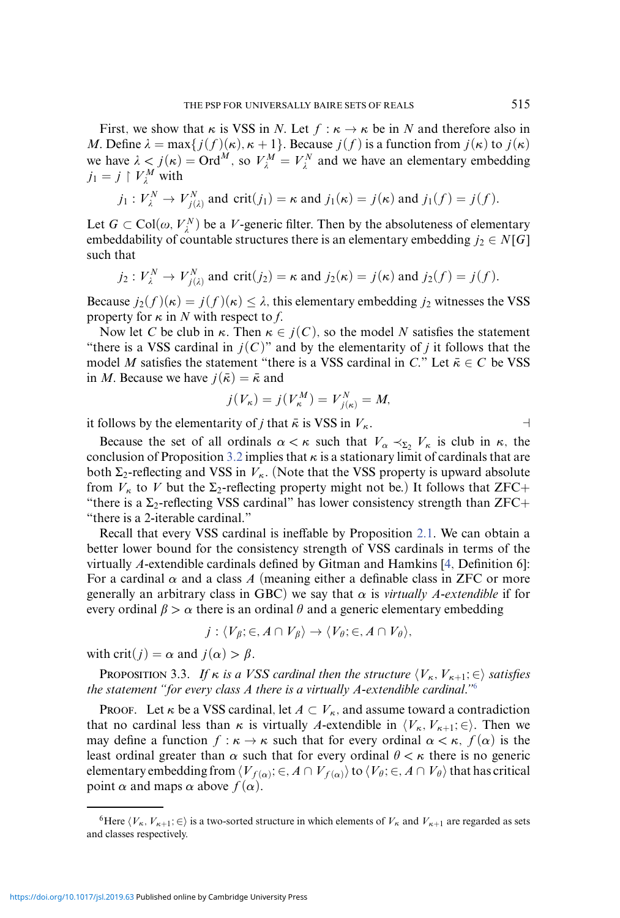First, we show that  $\kappa$  is VSS in *N*. Let  $f : \kappa \to \kappa$  be in *N* and therefore also in *M*. Define  $\lambda = \max\{j(f)(\kappa), \kappa + 1\}$ . Because  $j(f)$  is a function from  $j(\kappa)$  to  $j(\kappa)$ we have  $\lambda < j(\kappa) = \text{Ord}^M$ , so  $V_{\lambda}^M = V_{\lambda}^N$  and we have an elementary embedding  $j_1 = j \restriction V^M_\lambda$  with

$$
j_1: V_\lambda^N \to V_{j(\lambda)}^N
$$
 and  $crit(j_1) = \kappa$  and  $j_1(\kappa) = j(\kappa)$  and  $j_1(f) = j(f)$ .

Let  $G \subset \text{Col}(\omega, V_{\lambda}^N)$  be a *V*-generic filter. Then by the absoluteness of elementary embeddability of countable structures there is an elementary embedding  $j_2 \in N[G]$ such that

$$
j_2: V_\lambda^N \to V_{j(\lambda)}^N
$$
 and  $crit(j_2) = \kappa$  and  $j_2(\kappa) = j(\kappa)$  and  $j_2(f) = j(f)$ .

Because  $j_2(f)(\kappa) = j(f)(\kappa) \leq \lambda$ , this elementary embedding  $j_2$  witnesses the VSS property for  $\kappa$  in  $N$  with respect to  $f$ .

Now let *C* be club in  $\kappa$ . Then  $\kappa \in i(C)$ , so the model *N* satisfies the statement "there is a VSS cardinal in  $j(C)$ " and by the elementarity of *j* it follows that the model *M* satisfies the statement "there is a VSS cardinal in *C*." Let  $\bar{\kappa} \in C$  be VSS in *M*. Because we have  $j(\bar{\kappa}) = \bar{\kappa}$  and

$$
j(V_{\kappa}) = j(V_{\kappa}^M) = V_{j(\kappa)}^N = M,
$$

it follows by the elementarity of *j* that  $\bar{\kappa}$  is VSS in  $V_{\kappa}$ .

Because the set of all ordinals  $\alpha < \kappa$  such that  $V_{\alpha} \prec_{\Sigma} V_{\kappa}$  is club in  $\kappa$ , the conclusion of Proposition [3.2](#page-6-2) implies that  $\kappa$  is a stationary limit of cardinals that are both  $\Sigma$ <sub>2</sub>-reflecting and VSS in  $V_{\kappa}$ . (Note that the VSS property is upward absolute from  $V_{\kappa}$  to V but the  $\Sigma_2$ -reflecting property might not be.) It follows that ZFC+ "there is a  $\Sigma_2$ -reflecting VSS cardinal" has lower consistency strength than ZFC+ "there is a 2-iterable cardinal."

Recall that every VSS cardinal is ineffable by Proposition [2.1.](#page-2-2) We can obtain a better lower bound for the consistency strength of VSS cardinals in terms of the virtually *A*-extendible cardinals defined by Gitman and Hamkins [\[4,](#page-17-5) Definition 6]: For a cardinal  $\alpha$  and a class *A* (meaning either a definable class in ZFC or more generally an arbitrary class in GBC) we say that  $\alpha$  is *virtually A-extendible* if for every ordinal  $\beta > \alpha$  there is an ordinal  $\theta$  and a generic elementary embedding

$$
j: \langle V_{\beta}; \in, A \cap V_{\beta} \rangle \to \langle V_{\theta}; \in, A \cap V_{\theta} \rangle,
$$

with crit( $j$ ) =  $\alpha$  and  $j(\alpha) > \beta$ .

<span id="page-7-1"></span>**PROPOSITION 3.3.** *If*  $\kappa$  *is a VSS cardinal then the structure*  $\langle V_{\kappa}, V_{\kappa+1}; \in \rangle$  *satisfies the statement "for every class A there is a virtually A-extendible cardinal."*[6](#page-7-0)

PROOF. Let  $\kappa$  be a VSS cardinal, let  $A \subset V_{\kappa}$ , and assume toward a contradiction that no cardinal less than  $\kappa$  is virtually *A*-extendible in  $\langle V_{\kappa}, V_{\kappa+1}; \in \rangle$ . Then we may define a function  $f : \kappa \to \kappa$  such that for every ordinal  $\alpha < \kappa$ ,  $f(\alpha)$  is the least ordinal greater than  $\alpha$  such that for every ordinal  $\theta < \kappa$  there is no generic elementary embedding from  $\langle V_{f(\alpha)}; \in A \cap V_{f(\alpha)} \rangle$  to  $\langle V_{\theta}; \in A \cap V_{\theta} \rangle$  that has critical point  $\alpha$  and maps  $\alpha$  above  $f(\alpha)$ .

<span id="page-7-0"></span><sup>&</sup>lt;sup>6</sup>Here  $\langle V_{\kappa}, V_{\kappa+1}; \in \rangle$  is a two-sorted structure in which elements of  $V_{\kappa}$  and  $V_{\kappa+1}$  are regarded as sets and classes respectively.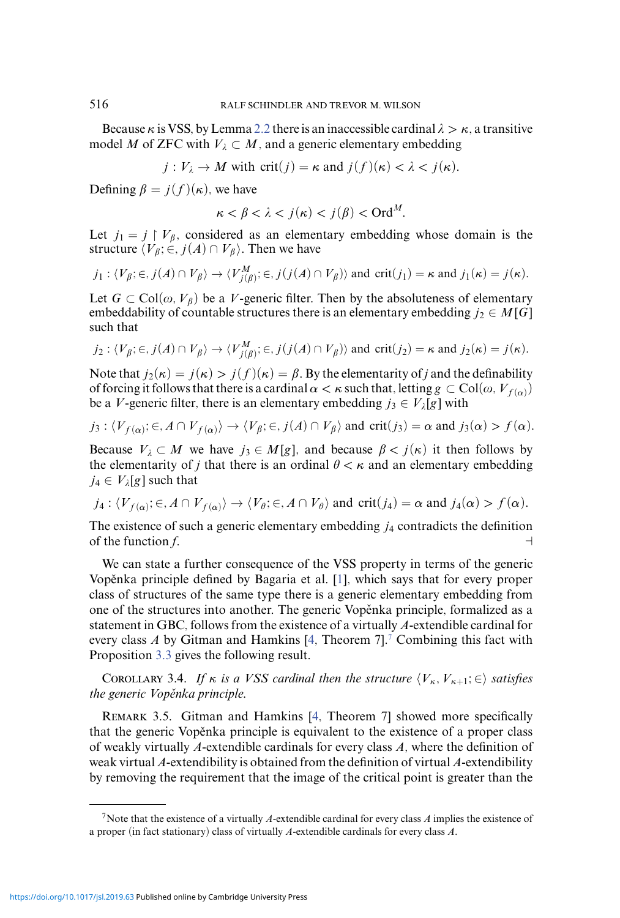Because  $\kappa$  is VSS, by Lemma [2.2](#page-3-0) there is an inaccessible cardinal  $\lambda > \kappa$ , a transitive model *M* of ZFC with  $V_{\lambda} \subset M$ , and a generic elementary embedding

 $j: V_i \to M$  with crit( $j$ ) =  $\kappa$  and  $j(f)(\kappa) < \lambda < j(\kappa)$ .

Defining  $\beta = j(f)(\kappa)$ , we have

$$
\kappa < \beta < \lambda < j(\kappa) < j(\beta) < \text{Ord}^M.
$$

Let  $j_1 = j \restriction V_\beta$ , considered as an elementary embedding whose domain is the structure  $\langle V_\beta; \in, j(A) \cap V_\beta \rangle$ . Then we have

$$
j_1: \langle V_\beta; \in, j(A) \cap V_\beta \rangle \to \langle V_{j(\beta)}^M; \in, j(j(A) \cap V_\beta) \rangle
$$
 and  $crit(j_1) = \kappa$  and  $j_1(\kappa) = j(\kappa)$ .

Let  $G \subset \text{Col}(\omega, V_\beta)$  be a *V*-generic filter. Then by the absoluteness of elementary embeddability of countable structures there is an elementary embedding  $j_2 \in M[G]$ such that

$$
j_2: \langle V_\beta; \in, j(A) \cap V_\beta \rangle \to \langle V_{j(\beta)}^M; \in, j(j(A) \cap V_\beta) \rangle
$$
 and  $crit(j_2) = \kappa$  and  $j_2(\kappa) = j(\kappa)$ .

Note that  $j_2(\kappa) = j(\kappa) > j(f)(\kappa) = \beta$ . By the elementarity of *j* and the definability of forcing it follows that there is a cardinal  $\alpha < \kappa$  such that, letting  $g \subset \text{Col}(\omega, V_{f(\alpha)})$ be a *V*-generic filter, there is an elementary embedding  $j_3 \in V_\lambda[g]$  with

$$
j_3: \langle V_{f(\alpha)}; \in, A \cap V_{f(\alpha)} \rangle \to \langle V_\beta; \in, j(A) \cap V_\beta \rangle \text{ and } \text{crit}(j_3) = \alpha \text{ and } j_3(\alpha) > f(\alpha).
$$

Because  $V_{\lambda} \subset M$  we have  $j_3 \in M[g]$ , and because  $\beta < j(\kappa)$  it then follows by the elementarity of *j* that there is an ordinal  $\theta < \kappa$  and an elementary embedding  $j_4 \in V_{\lambda}[g]$  such that

$$
j_4: \langle V_{f(\alpha)}; \in A \cap V_{f(\alpha)} \rangle \to \langle V_{\theta}; \in A \cap V_{\theta} \rangle \text{ and } \text{crit}(j_4) = \alpha \text{ and } j_4(\alpha) > f(\alpha).
$$

The existence of such a generic elementary embedding *j*<sup>4</sup> contradicts the definition of the function  $f$ .

We can state a further consequence of the VSS property in terms of the generic Vopěnka principle defined by Bagaria et al. [[1\]](#page-17-1), which says that for every proper class of structures of the same type there is a generic elementary embedding from one of the structures into another. The generic Vopěnka principle, formalized as a statement in GBC, follows from the existence of a virtually *A*-extendible cardinal for every class *A* by Gitman and Hamkins [\[4,](#page-17-5) Theorem 7].<sup>7</sup> Combining this fact with Proposition [3.3](#page-7-1) gives the following result.

COROLLARY 3.4. *If*  $\kappa$  *is a VSS cardinal then the structure*  $\langle V_{\kappa}, V_{\kappa+1}; \in \rangle$  *satisfies the generic Vopěnka principle.* 

REMARK 3.5. Gitman and Hamkins [\[4,](#page-17-5) Theorem 7] showed more specifically that the generic Vopěnka principle is equivalent to the existence of a proper class of weakly virtually *A*-extendible cardinals for every class *A*, where the definition of weak virtual *A*-extendibility is obtained from the definition of virtual *A*-extendibility by removing the requirement that the image of the critical point is greater than the

<span id="page-8-0"></span><sup>7</sup>Note that the existence of a virtually *A*-extendible cardinal for every class *A* implies the existence of a proper (in fact stationary) class of virtually *A*-extendible cardinals for every class *A*.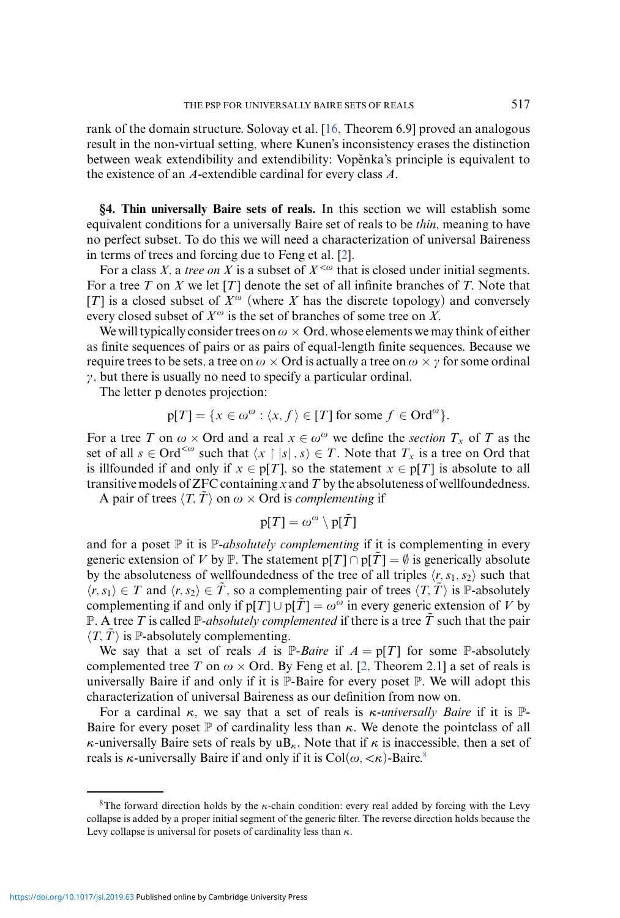rank of the domain structure. Solovay et al. [\[16,](#page-18-7) Theorem 6.9] proved an analogous result in the non-virtual setting, where Kunen's inconsistency erases the distinction between weak extendibility and extendibility: Vopěnka's principle is equivalent to the existence of an *A*-extendible cardinal for every class *A*.

<span id="page-9-0"></span>**§4. Thin universally Baire sets of reals.** In this section we will establish some equivalent conditions for a universally Baire set of reals to be *thin*, meaning to have no perfect subset. To do this we will need a characterization of universal Baireness in terms of trees and forcing due to Feng et al. [\[2\]](#page-17-0).

For a class *X*, a *tree on X* is a subset of  $X^{\lt \omega}$  that is closed under initial segments. For a tree *T* on *X* we let [*T*] denote the set of all infinite branches of *T*. Note that  $[T]$  is a closed subset of  $X^{\omega}$  (where X has the discrete topology) and conversely every closed subset of  $X^{\omega}$  is the set of branches of some tree on X.

We will typically consider trees on  $\omega \times$  Ord, whose elements we may think of either as finite sequences of pairs or as pairs of equal-length finite sequences. Because we require trees to be sets, a tree on  $\omega \times$  Ord is actually a tree on  $\omega \times \gamma$  for some ordinal  $\gamma$ , but there is usually no need to specify a particular ordinal.

The letter p denotes projection:

$$
p[T] = \{x \in \omega^{\omega} : \langle x, f \rangle \in [T] \text{ for some } f \in \text{Ord}^{\omega}\}.
$$

For a tree *T* on  $\omega \times$  Ord and a real  $x \in \omega^{\omega}$  we define the *section*  $T_x$  of *T* as the set of all  $s \in \text{Ord}^{< \omega}$  such that  $\langle x \mid |s|, s \rangle \in T$ . Note that  $T_x$  is a tree on Ord that is illfounded if and only if  $x \in p[T]$ , so the statement  $x \in p[T]$  is absolute to all transitive models of ZFC containing *x* and*T* by the absoluteness of wellfoundedness.

A pair of trees  $\langle T, T \rangle$  on  $\omega \times$  Ord is *complementing* if

$$
\operatorname{p}[T] = \omega^\omega \setminus \operatorname{p}[\tilde{T}]
$$

and for a poset  $\mathbb P$  it is  $\mathbb P$ -*absolutely complementing* if it is complementing in every generic extension of *V* by  $\mathbb{P}$ . The statement p[*T*]  $\cap$  p[ $\tilde{T}$ ] =  $\emptyset$  is generically absolute by the absoluteness of wellfoundedness of the tree of all triples  $\langle r, s_1, s_2 \rangle$  such that  $\langle r, s_1 \rangle \in T$  and  $\langle r, s_2 \rangle \in \tilde{T}$ , so a complementing pair of trees  $\langle T, \tilde{T} \rangle$  is P-absolutely complementing if and only if  $p[T] \cup p[T] = \omega^{\omega}$  in every generic extension of *V* by P. A tree *T* is called P-*absolutely complemented* if there is a tree  $\tilde{T}$  such that the pair  $\langle T, \tilde{T} \rangle$  is P-absolutely complementing.

We say that a set of reals *A* is P-*Baire* if  $A = p[T]$  for some P-absolutely complemented tree T on  $\omega \times$  Ord. By Feng et al. [\[2,](#page-17-0) Theorem 2.1] a set of reals is universally Baire if and only if it is  $\mathbb{P}\text{-}B$ aire for every poset  $\mathbb{P}$ . We will adopt this characterization of universal Baireness as our definition from now on.

For a cardinal *κ*, we say that a set of reals is *κ-universally Baire* if it is P-Baire for every poset  $\mathbb P$  of cardinality less than  $\kappa$ . We denote the pointclass of all *κ*-universally Baire sets of reals by  $uB_{k}$ . Note that if  $\kappa$  is inaccessible, then a set of reals is *κ*-universally Baire if and only if it is  $Col(\omega, \langle \kappa \rangle)$ -Baire.<sup>8</sup>

<span id="page-9-1"></span><sup>8</sup>The forward direction holds by the *κ*-chain condition: every real added by forcing with the Levy collapse is added by a proper initial segment of the generic filter. The reverse direction holds because the Levy collapse is universal for posets of cardinality less than *κ*.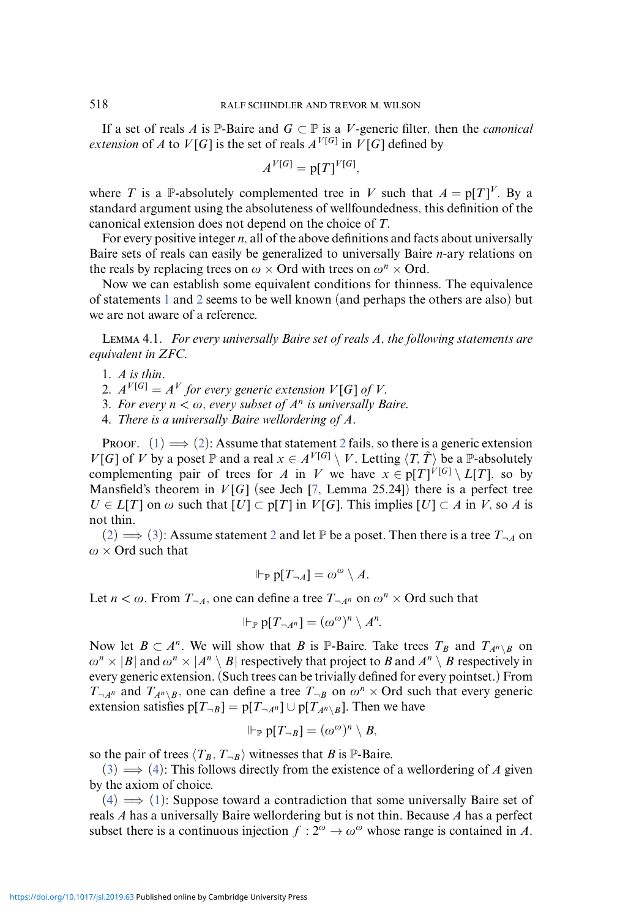If a set of reals *A* is P-Baire and *G* ⊂ P is a *V*-generic filter, then the *canonical extension* of *A* to  $V[G]$  is the set of reals  $A^{V[G]}$  in  $\overline{V[G]}$  defined by

$$
A^{V[G]} = \mathrm{p}[T]^{V[G]},
$$

where *T* is a P-absolutely complemented tree in *V* such that  $A = p[T]^{V}$ . By a standard argument using the absoluteness of wellfoundedness, this definition of the canonical extension does not depend on the choice of *T*.

For every positive integer *n*, all of the above definitions and facts about universally Baire sets of reals can easily be generalized to universally Baire *n*-ary relations on the reals by replacing trees on  $\omega \times$  Ord with trees on  $\omega^n \times$  Ord.

Now we can establish some equivalent conditions for thinness. The equivalence of statements [1](#page-9-0) and [2](#page-9-0) seems to be well known (and perhaps the others are also) but we are not aware of a reference.

<span id="page-10-0"></span>Lemma 4.1. *For every universally Baire set of reals A, the following statements are equivalent in ZFC.*

1. *A is thin.*

2.  $A^{V[G]} = A^{V}$  for every generic extension  $V[G]$  of V.

3. *For every*  $n < \omega$ , *every* subset of  $A^n$  *is universally Baire.* 

4. *There is a universally Baire wellordering of A.*

PROOF.  $(1) \implies (2)$  $(1) \implies (2)$  $(1) \implies (2)$ : Assume that statement [2](#page-9-0) fails, so there is a generic extension *V*[*G*] of *V* by a poset  $\mathbb P$  and a real  $x \in A^{V[G]} \setminus V$ . Letting  $\langle T, \tilde{T} \rangle$  be a  $\mathbb P$ -absolutely complementing pair of trees for *A* in *V* we have  $x \in p[T]^{V[G]} \setminus L[T]$ , so by Mansfield's theorem in  $V[G]$  (see Jech [\[7,](#page-18-8) Lemma 25.24]) there is a perfect tree  $U \in L[T]$  on  $\omega$  such that  $[U] \subset p[T]$  in  $V[G]$ . This implies  $[U] \subset A$  in *V*, so *A* is not thin.

 $(2) \implies (3)$  $(2) \implies (3)$  $(2) \implies (3)$ : Assume statement [2](#page-9-0) and let P be a poset. Then there is a tree  $T_{\neg A}$  on  $\omega \times$  Ord such that

$$
\Vdash_{\mathbb{P}} p[T_{\neg A}] = \omega^{\omega} \setminus A.
$$

Let  $n < \omega$ . From  $T_{\neg A}$ , one can define a tree  $T_{\neg A^n}$  on  $\omega^n \times$  Ord such that

$$
\Vdash_{\mathbb{P}} p[T_{\neg A^n}] = (\omega^\omega)^n \setminus A^n.
$$

Now let  $B \subset A^n$ . We will show that *B* is P-Baire. Take trees  $T_B$  and  $T_{A^n \setminus B}$  on  $\omega^n \times |B|$  and  $\omega^n \times |A^n \setminus B|$  respectively that project to *B* and  $A^n \setminus B$  respectively in every generic extension. (Such trees can be trivially defined for every pointset.) From  $T_{\neg A^n}$  and  $T_{A^n \setminus B}$ , one can define a tree  $T_{\neg B}$  on  $\omega^n \times$  Ord such that every generic extension satisfies  $p[T_{\neg B}] = p[T_{\neg A^n}] \cup p[T_{A^n \setminus B}]$ . Then we have

$$
\Vdash_{\mathbb{P}} p[T_{\neg B}] = (\omega^{\omega})^n \setminus B,
$$

so the pair of trees  $\langle T_B, T_{\neg B} \rangle$  witnesses that *B* is  $\mathbb{P}$ -Baire.

 $(3) \implies (4)$  $(3) \implies (4)$  $(3) \implies (4)$ : This follows directly from the existence of a wellordering of A given by the axiom of choice.

 $(4) \implies (1)$  $(4) \implies (1)$  $(4) \implies (1)$ : Suppose toward a contradiction that some universally Baire set of reals *A* has a universally Baire wellordering but is not thin. Because *A* has a perfect subset there is a continuous injection  $f : 2^{\omega} \to \omega^{\omega}$  whose range is contained in A.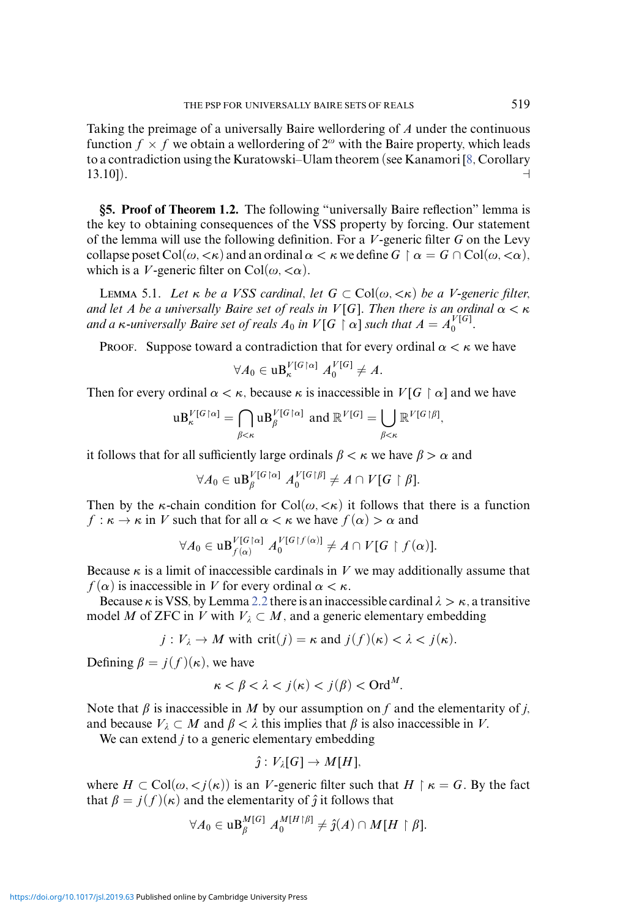Taking the preimage of a universally Baire wellordering of *A* under the continuous function  $f \times f$  we obtain a wellordering of  $2^\omega$  with the Baire property, which leads to a contradiction using the Kuratowski–Ulam theorem (see Kanamori [\[8,](#page-18-0) Corollary  $(13.10)$ .

<span id="page-11-0"></span>**§5. Proof of Theorem 1.2.** The following "universally Baire reflection" lemma is the key to obtaining consequences of the VSS property by forcing. Our statement of the lemma will use the following definition. For a *V*-generic filter *G* on the Levy collapse poset Col( $\omega$ ,  $\lt \kappa$ ) and an ordinal  $\alpha < \kappa$  we define  $G \restriction \alpha = G \cap \text{Col}(\omega, \lt \alpha)$ , which is a *V*-generic filter on  $Col(\omega, < \alpha)$ .

<span id="page-11-1"></span>LEMMA 5.1. *Let*  $\kappa$  *be a VSS cardinal, let*  $G \subset Col(\omega, \langle \kappa \rangle)$  *be a V-generic filter, and let A be a universally Baire set of reals in V* [*G*]*. Then there is an ordinal α<κ and a κ*-universally Baire set of reals  $A_0$  in  $V[G \restriction \alpha]$  such that  $A = A_0^{V[G]}$ .

**PROOF.** Suppose toward a contradiction that for every ordinal  $\alpha < \kappa$  we have

$$
\forall A_0 \in \mathbf{u} \mathbf{B}_{\kappa}^{V[G\restriction \alpha]} A_0^{V[G]} \neq A.
$$

Then for every ordinal  $\alpha < \kappa$ , because  $\kappa$  is inaccessible in  $V[G \restriction \alpha]$  and we have

$$
uB_{\kappa}^{V[G\restriction \alpha]} = \bigcap_{\beta < \kappa} uB_{\beta}^{V[G\restriction \alpha]} \text{ and } \mathbb{R}^{V[G]} = \bigcup_{\beta < \kappa} \mathbb{R}^{V[G\restriction \beta]},
$$

it follows that for all sufficiently large ordinals  $\beta < \kappa$  we have  $\beta > \alpha$  and

$$
\forall A_0 \in \mathfrak{u}\mathsf{B}^{V[G\restriction \alpha]}_\beta \ A_0^{V[G\restriction \beta]} \neq A \cap V[G\restriction \beta].
$$

Then by the *κ*-chain condition for Col( $\omega, \langle \kappa \rangle$ ) it follows that there is a function *f* :  $\kappa \to \kappa$  in *V* such that for all  $\alpha < \kappa$  we have  $f(\alpha) > \alpha$  and

$$
\forall A_0 \in \mathbf{u} \mathbf{B}_{f(\alpha)}^{V[G\restriction \alpha]} \ A_0^{V[G\restriction f(\alpha)]} \neq A \cap V[G \restriction f(\alpha)].
$$

Because  $\kappa$  is a limit of inaccessible cardinals in V we may additionally assume that *f*( $\alpha$ ) is inaccessible in *V* for every ordinal  $\alpha < \kappa$ .

Because  $\kappa$  is VSS, by Lemma [2.2](#page-3-0) there is an inaccessible cardinal  $\lambda > \kappa$ , a transitive model *M* of ZFC in *V* with  $V_i \subset M$ , and a generic elementary embedding

$$
j: V_{\lambda} \to M \text{ with } \text{crit}(j) = \kappa \text{ and } j(f)(\kappa) < \lambda < j(\kappa).
$$

Defining  $\beta = j(f)(\kappa)$ , we have

$$
\kappa < \beta < \lambda < j(\kappa) < j(\beta) < \text{Ord}^M.
$$

Note that  $\beta$  is inaccessible in M by our assumption on f and the elementarity of *j*, and because  $V_{\lambda} \subset M$  and  $\beta < \lambda$  this implies that  $\beta$  is also inaccessible in V.

We can extend *j* to a generic elementary embedding

$$
\hat{\jmath} : V_{\lambda}[G] \to M[H],
$$

where  $H \subset \text{Col}(\omega, < j(\kappa))$  is an *V*-generic filter such that  $H \upharpoonright \kappa = G$ . By the fact that  $\beta = j(f)(\kappa)$  and the elementarity of  $\hat{j}$  it follows that

$$
\forall A_0 \in \mathfrak{u}\mathsf{B}_\beta^{M[G]} \ A_0^{M[H \restriction \beta]} \neq \hat{\jmath}(A) \cap M[H \restriction \beta].
$$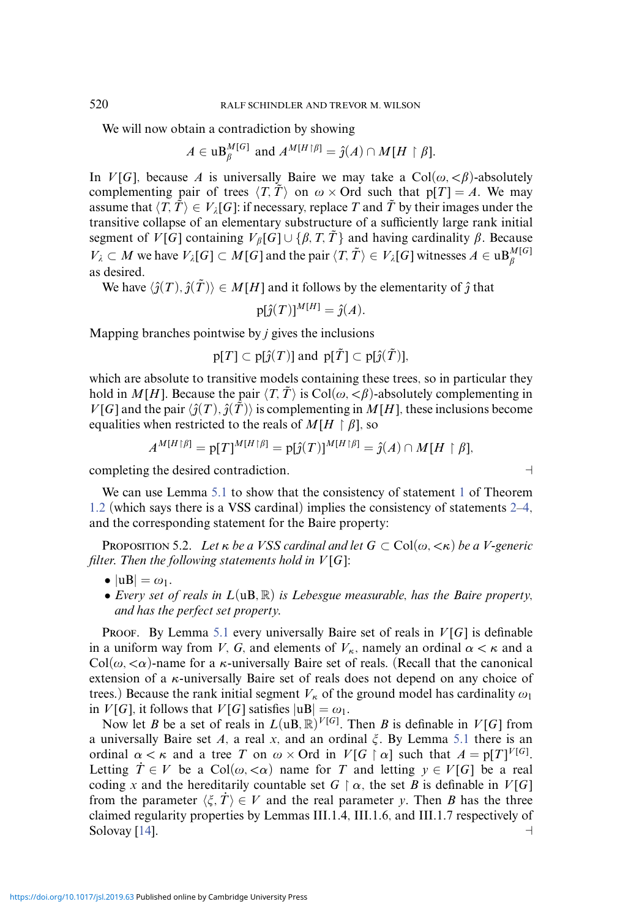We will now obtain a contradiction by showing

$$
A \in \mathsf{uB}_{\beta}^{M[G]} \text{ and } A^{M[H\restriction \beta]} = \hat{\jmath}(A) \cap M[H \restriction \beta].
$$

In *V*[*G*], because *A* is universally Baire we may take a Col( $\omega$ ,  $\lt$  $\beta$ )-absolutely complementing pair of trees  $\langle T, T \rangle$  on  $\omega \times \text{Ord}$  such that  $p[T] = A$ . We may assume that  $\langle T, T \rangle \in V_{\lambda}[G]$ : if necessary, replace *T* and *T* by their images under the transitive collapse of an elementary substructure of a sufficiently large rank initial segment of *V* [*G*] containing  $V_\beta$  [*G*] ∪ { $\beta$ , *T*,  $\tilde{T}$ } and having cardinality  $\beta$ . Because  $V_{\lambda} \subset M$  we have  $V_{\lambda}[G] \subset M[G]$  and the pair  $\langle T, \tilde{T} \rangle \in V_{\lambda}[G]$  witnesses  $A \in \mathfrak{u}\mathbf{B}_{\beta}^{M[G]}$ as desired.

We have  $\langle \hat{j}(T), \hat{j}(T) \rangle \in M[H]$  and it follows by the elementarity of  $\hat{j}$  that

$$
p[\hat{\jmath}(T)]^{M[H]} = \hat{\jmath}(A).
$$

Mapping branches pointwise by *j* gives the inclusions

$$
p[T] \subset p[\hat{\jmath}(T)] \text{ and } p[T] \subset p[\hat{\jmath}(T)],
$$

which are absolute to transitive models containing these trees, so in particular they hold in *M*[*H*]. Because the pair  $\langle T, T \rangle$  is Col( $\omega, <\beta$ )-absolutely complementing in  $V[G]$  and the pair  $\langle \hat{j}(T), \hat{j}(T) \rangle$  is complementing in *M[H]*, these inclusions become equalities when restricted to the reals of  $M[H \restriction \beta]$ , so

$$
A^{M[H\restriction \beta]} = \mathsf{p}[T]^{M[H\restriction \beta]} = \mathsf{p}[\hat{\jmath}(T)]^{M[H\restriction \beta]} = \hat{\jmath}(A) \cap M[H\restriction \beta],
$$

completing the desired contradiction.

We can use Lemma [5.1](#page-11-1) to show that the consistency of statement [1](#page-0-2) of Theorem [1.2](#page-1-2) (which says there is a VSS cardinal) implies the consistency of statements [2–4,](#page-0-2) and the corresponding statement for the Baire property:

<span id="page-12-0"></span>**PROPOSITION 5.2.** *Let*  $\kappa$  *be a VSS cardinal and let*  $G \subset \text{Col}(\omega, \langle \kappa \rangle)$  *be a V-generic filter. Then the following statements hold in*  $V[G]$ :

- $|uB| = \omega_1$ .
- *Every set of reals in L*(uB*,* R) *is Lebesgue measurable, has the Baire property, and has the perfect set property.*

**PROOF.** By Lemma [5.1](#page-11-1) every universally Baire set of reals in  $V[G]$  is definable in a uniform way from *V*, *G*, and elements of  $V_{\kappa}$ , namely an ordinal  $\alpha < \kappa$  and a Col( $\omega$ ,  $\langle \alpha \rangle$ -name for a  $\kappa$ -universally Baire set of reals. (Recall that the canonical extension of a *κ*-universally Baire set of reals does not depend on any choice of trees.) Because the rank initial segment  $V_k$  of the ground model has cardinality  $\omega_1$ in  $V[G]$ , it follows that  $V[G]$  satisfies  $|uB| = \omega_1$ .

Now let *B* be a set of reals in  $L(uB, \mathbb{R})^{V[G]}$ . Then *B* is definable in  $V[G]$  from a universally Baire set *A*, a real *x*, and an ordinal . By Lemma [5.1](#page-11-1) there is an ordinal  $\alpha < \kappa$  and a tree *T* on  $\omega \times$  Ord in  $V[G \restriction \alpha]$  such that  $A = p[T]^{V[G]}$ . Letting  $\dot{T} \in V$  be a Col $(\omega, <\alpha)$  name for *T* and letting  $y \in V[G]$  be a real coding *x* and the hereditarily countable set  $G \restriction \alpha$ , the set *B* is definable in  $V[G]$ from the parameter  $\langle \xi, T \rangle \in V$  and the real parameter *y*. Then *B* has the three claimed regularity properties by Lemmas III.1.4, III.1.6, and III.1.7 respectively of Solovay [\[14\]](#page-18-9).  $\qquad \qquad \rightarrow$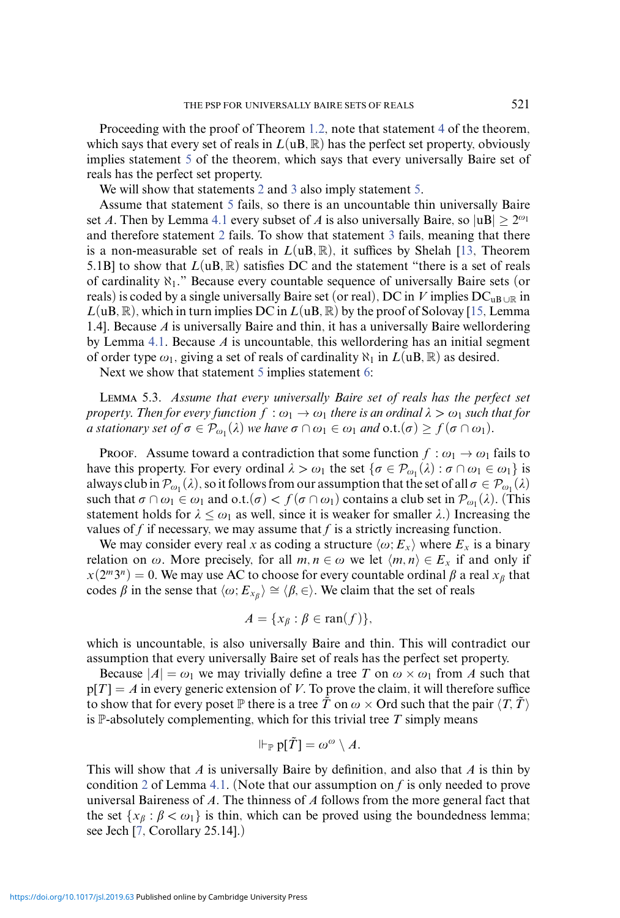Proceeding with the proof of Theorem [1.2,](#page-1-2) note that statement [4](#page-0-2) of the theorem, which says that every set of reals in  $L(uB, \mathbb{R})$  has the perfect set property, obviously implies statement [5](#page-0-2) of the theorem, which says that every universally Baire set of reals has the perfect set property.

We will show that statements [2](#page-0-2) and [3](#page-0-2) also imply statement [5.](#page-0-2)

Assume that statement [5](#page-0-2) fails, so there is an uncountable thin universally Baire set *A*. Then by Lemma [4.1](#page-10-0) every subset of *A* is also universally Baire, so  $|uB| \ge 2^{\omega_1}$ and therefore statement [2](#page-0-2) fails. To show that statement [3](#page-0-2) fails, meaning that there is a non-measurable set of reals in  $L(uB, \mathbb{R})$ , it suffices by Shelah [\[13,](#page-18-10) Theorem 5.1B] to show that  $L(uB, \mathbb{R})$  satisfies DC and the statement "there is a set of reals of cardinality  $\aleph_1$ ." Because every countable sequence of universally Baire sets (or reals) is coded by a single universally Baire set (or real), DC in *V* implies  $DC_{uB} \cup \mathbb{R}$  in  $L(uB, \mathbb{R})$ , which in turn implies DC in  $L(uB, \mathbb{R})$  by the proof of Solovay [\[15,](#page-18-11) Lemma 1.4]. Because *A* is universally Baire and thin, it has a universally Baire wellordering by Lemma [4.1.](#page-10-0) Because *A* is uncountable, this wellordering has an initial segment of order type  $\omega_1$ , giving a set of reals of cardinality  $\aleph_1$  in  $L(uB, \mathbb{R})$  as desired.

Next we show that statement [5](#page-0-2) implies statement [6:](#page-0-2)

<span id="page-13-0"></span>Lemma 5.3. *Assume that every universally Baire set of reals has the perfect set property. Then for every function*  $f : \omega_1 \to \omega_1$  *there is an ordinal*  $\lambda > \omega_1$  *such that for a stationary set of*  $\sigma \in \mathcal{P}_{\omega_1}(\lambda)$  *we have*  $\sigma \cap \omega_1 \in \omega_1$  *and*  $\text{o.t.}(\sigma) \geq f(\sigma \cap \omega_1)$ *.* 

**PROOF.** Assume toward a contradiction that some function  $f : \omega_1 \to \omega_1$  fails to have this property. For every ordinal  $\lambda > \omega_1$  the set  $\{\sigma \in \mathcal{P}_{\omega_1}(\lambda) : \sigma \cap \omega_1 \in \omega_1\}$  is always club in  $\mathcal{P}_{\omega_1}(\lambda)$ , so it follows from our assumption that the set of all  $\sigma \in \mathcal{P}_{\omega_1}(\lambda)$ such that  $\sigma \cap \omega_1 \in \omega_1$  and  $\text{o.t.}(\sigma) < f(\sigma \cap \omega_1)$  contains a club set in  $\mathcal{P}_{\omega_1}(\lambda)$ . (This statement holds for  $\lambda \leq \omega_1$  as well, since it is weaker for smaller  $\lambda$ .) Increasing the values of  $f$  if necessary, we may assume that  $f$  is a strictly increasing function.

We may consider every real *x* as coding a structure  $\langle \omega, E_x \rangle$  where  $E_x$  is a binary relation on  $\omega$ . More precisely, for all  $m, n \in \omega$  we let  $\langle m, n \rangle \in E_x$  if and only if  $x(2^m3^n) = 0$ . We may use AC to choose for every countable ordinal  $\beta$  a real  $x_\beta$  that codes  $\beta$  in the sense that  $\langle \omega, E_{x_{\beta}} \rangle \cong \langle \beta, \in \rangle$ . We claim that the set of reals

$$
A = \{x_{\beta} : \beta \in \text{ran}(f)\},
$$

which is uncountable, is also universally Baire and thin. This will contradict our assumption that every universally Baire set of reals has the perfect set property.

Because  $|A| = \omega_1$  we may trivially define a tree *T* on  $\omega \times \omega_1$  from *A* such that  $p[T] = A$  in every generic extension of *V*. To prove the claim, it will therefore suffice to show that for every poset  $\mathbb P$  there is a tree  $\tilde T$  on  $\omega \times$  Ord such that the pair  $\langle T, \tilde T\rangle$ is  $\mathbb P$ -absolutely complementing, which for this trivial tree  $T$  simply means

$$
\Vdash_{\mathbb{P}}\mathsf{p}[\tilde{T}]=\omega^\omega\setminus A.
$$

This will show that *A* is universally Baire by definition, and also that *A* is thin by condition [2](#page-9-0) of Lemma [4.1.](#page-10-0) (Note that our assumption on *f* is only needed to prove universal Baireness of *A*. The thinness of *A* follows from the more general fact that the set  $\{x_\beta : \beta < \omega_1\}$  is thin, which can be proved using the boundedness lemma; see Jech [\[7,](#page-18-8) Corollary 25.14].)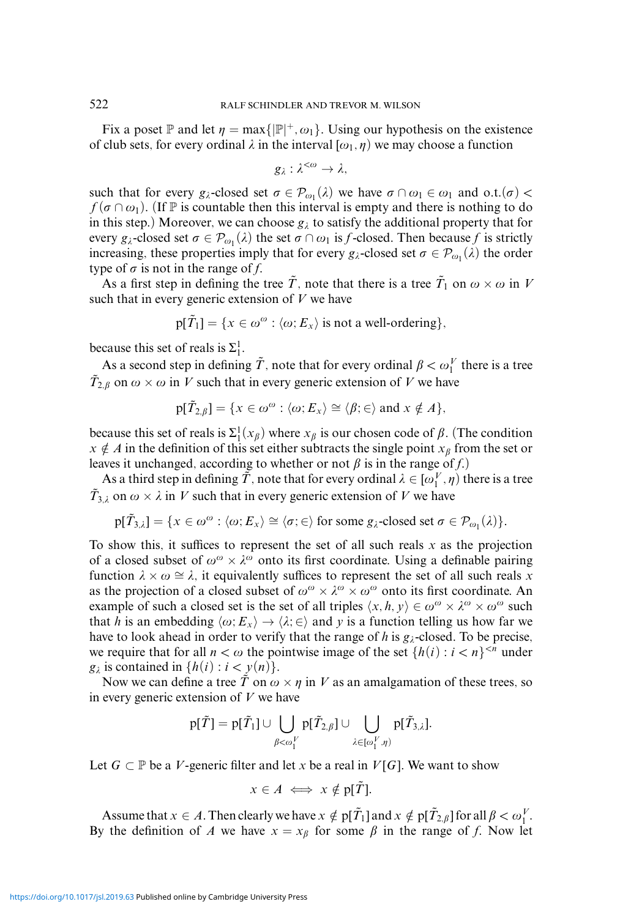Fix a poset  $\mathbb P$  and let  $\eta = \max{\{|\mathbb P|^+, \omega_1\}}$ . Using our hypothesis on the existence of club sets, for every ordinal  $\lambda$  in the interval  $[\omega_1, \eta]$  we may choose a function

$$
g_{\lambda}:\lambda^{<\omega}\to\lambda,
$$

such that for every  $g_{\lambda}$ -closed set  $\sigma \in \mathcal{P}_{\omega_1}(\lambda)$  we have  $\sigma \cap \omega_1 \in \omega_1$  and  $\sigma.t.(\sigma)$  $f(\sigma \cap \omega_1)$ . (If P is countable then this interval is empty and there is nothing to do in this step.) Moreover, we can choose  $g_{\lambda}$  to satisfy the additional property that for every  $g_{\lambda}$ -closed set  $\sigma \in \mathcal{P}_{\omega_1}(\lambda)$  the set  $\sigma \cap \omega_1$  is *f*-closed. Then because *f* is strictly increasing, these properties imply that for every  $g_{\lambda}$ -closed set  $\sigma \in \mathcal{P}_{\omega}(\lambda)$  the order type of  $\sigma$  is not in the range of f.

As a first step in defining the tree *T*, note that there is a tree  $T_1$  on  $\omega \times \omega$  in *V* such that in every generic extension of *V* we have

$$
p[\tilde{T}_1] = \{x \in \omega^{\omega} : \langle \omega, E_x \rangle \text{ is not a well-ordering}\},
$$

because this set of reals is  $\Sigma_1^1$ .

As a second step in defining  $\tilde{T}$ , note that for every ordinal  $\beta < \omega_1^V$  there is a tree  $T_{2,\beta}$  on  $\omega \times \omega$  in *V* such that in every generic extension of *V* we have

$$
p[\tilde{T}_{2,\beta}] = \{x \in \omega^{\omega} : \langle \omega; E_x \rangle \cong \langle \beta; \in \rangle \text{ and } x \notin A\},\
$$

because this set of reals is  $\Sigma_1^1(x_\beta)$  where  $x_\beta$  is our chosen code of  $\beta$ . (The condition  $x \notin A$  in the definition of this set either subtracts the single point  $x_\beta$  from the set or leaves it unchanged, according to whether or not  $\beta$  is in the range of  $f$ .)

As a third step in defining  $\tilde{T}$ , note that for every ordinal  $\lambda \in [\omega_1^V, \eta)$  there is a tree  $T_{3,\lambda}$  on  $\omega \times \lambda$  in *V* such that in every generic extension of *V* we have

$$
p[\tilde{T}_{3,\lambda}] = \{x \in \omega^{\omega} : \langle \omega; E_x \rangle \cong \langle \sigma; \in \rangle \text{ for some } g_{\lambda}\text{-closed set } \sigma \in \mathcal{P}_{\omega_1}(\lambda)\}.
$$

To show this, it suffices to represent the set of all such reals *x* as the projection of a closed subset of  $\omega^{\omega} \times \lambda^{\omega}$  onto its first coordinate. Using a definable pairing function  $\lambda \times \omega \cong \lambda$ , it equivalently suffices to represent the set of all such reals x as the projection of a closed subset of  $\omega^{\omega} \times \lambda^{\omega} \times \omega^{\omega}$  onto its first coordinate. An example of such a closed set is the set of all triples  $\langle x, h, y \rangle \in \omega^{\omega} \times \lambda^{\omega} \times \omega^{\omega}$  such that *h* is an embedding  $\langle \omega, E_x \rangle \rightarrow \langle \lambda, \in \rangle$  and *y* is a function telling us how far we have to look ahead in order to verify that the range of *h* is  $g_{\lambda}$ -closed. To be precise, we require that for all  $n < \omega$  the pointwise image of the set  ${h(i) : i < n}^{n}$  under  $g_{\lambda}$  is contained in  $\{h(i) : i < y(n)\}.$ 

Now we can define a tree  $\tilde{T}$  on  $\omega \times \eta$  in *V* as an amalgamation of these trees, so in every generic extension of *V* we have

$$
p[\tilde{T}] = p[\tilde{T}_1] \cup \bigcup_{\beta < \omega_1^V} p[\tilde{T}_{2,\beta}] \cup \bigcup_{\lambda \in [\omega_1^V, \eta)} p[\tilde{T}_{3,\lambda}].
$$

Let *G* ⊂  $\mathbb P$  be a *V*-generic filter and let *x* be a real in *V*[*G*]. We want to show

$$
x \in A \iff x \notin p[T].
$$

Assume that  $x \in A$ . Then clearly we have  $x \notin p[\tilde{T}_1]$  and  $x \notin p[\tilde{T}_{2,\beta}]$  for all  $\beta < \omega_1^V$ . By the definition of *A* we have  $x = x_\beta$  for some  $\beta$  in the range of *f*. Now let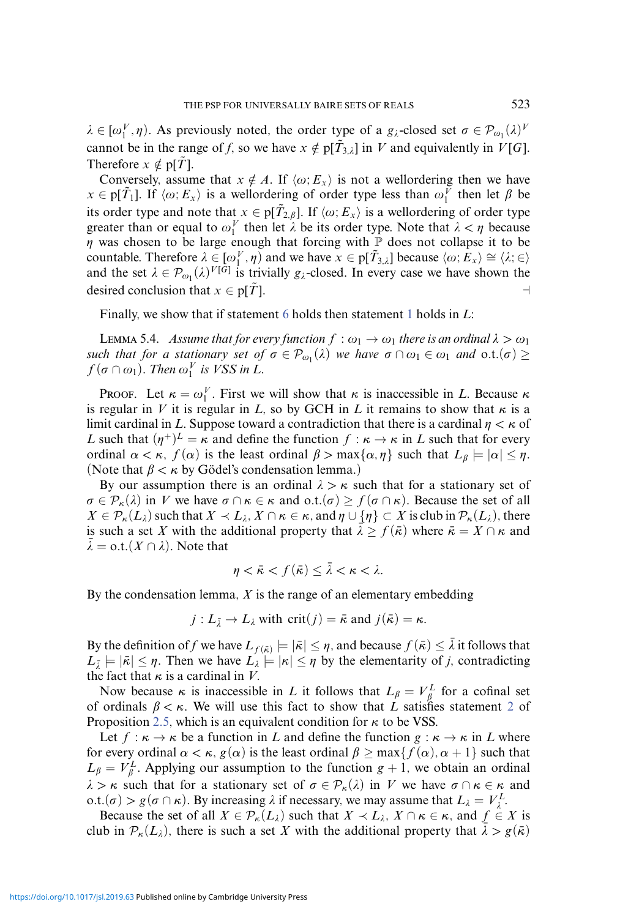$\lambda \in [\omega_1^V, \eta)$ . As previously noted, the order type of a  $g_{\lambda}$ -closed set  $\sigma \in \mathcal{P}_{\omega_1}(\lambda)^V$ cannot be in the range of *f*, so we have  $x \notin p[T_{3,\lambda}]$  in *V* and equivalently in *V*[*G*]. Therefore  $x \notin p[\tilde{T}]$ .

Conversely, assume that  $x \notin A$ . If  $\langle \omega, E_x \rangle$  is not a wellordering then we have  $x \in p[T_1]$ . If  $\langle \omega, E_x \rangle$  is a wellordering of order type less than  $\omega_1^V$  then let  $\beta$  be its order type and note that  $x \in p[T_{2,\beta}]$ . If  $\langle \omega; E_x \rangle$  is a wellordering of order type greater than or equal to  $\omega_1^V$  then let  $\lambda$  be its order type. Note that  $\lambda < \eta$  because  $\eta$  was chosen to be large enough that forcing with  $\mathbb P$  does not collapse it to be countable. Therefore  $\lambda \in [\omega_1^V, \eta)$  and we have  $x \in p[\tilde{T}_{3,\lambda}]$  because  $\langle \omega; E_x \rangle \cong \langle \lambda; \in \rangle$ and the set  $\lambda \in \mathcal{P}_{\omega_1}(\lambda)^{V[\hat{G}]}$  is trivially  $g_{\lambda}$ -closed. In every case we have shown the desired conclusion that  $x \in p[\tilde{T}]$ .

Finally, we show that if statement [6](#page-0-2) holds then statement [1](#page-0-2) holds in *L*:

<span id="page-15-0"></span>LEMMA 5.4. *Assume that for every function*  $f : \omega_1 \to \omega_1$  *there is an ordinal*  $\lambda > \omega_1$ *such that for a stationary set of*  $\sigma \in \mathcal{P}_{\omega_1}(\lambda)$  *we have*  $\sigma \cap \omega_1 \in \omega_1$  *and*  $o.t.(\sigma) \geq$  $f(\sigma \cap \omega_1)$ . Then  $\omega_1^V$  is *VSS* in L.

Proof. Let  $\kappa = \omega_1^V$ . First we will show that  $\kappa$  is inaccessible in *L*. Because  $\kappa$ is regular in *V* it is regular in *L*, so by GCH in *L* it remains to show that  $\kappa$  is a limit cardinal in *L*. Suppose toward a contradiction that there is a cardinal  $\eta < \kappa$  of *L* such that  $(\eta^+)^L = \kappa$  and define the function  $f : \kappa \to \kappa$  in *L* such that for every ordinal  $\alpha < \kappa$ ,  $f(\alpha)$  is the least ordinal  $\beta > \max{\{\alpha, \eta\}}$  such that  $L_{\beta} \models |\alpha| \leq \eta$ . (Note that  $\beta < \kappa$  by Gödel's condensation lemma.)

By our assumption there is an ordinal  $\lambda > \kappa$  such that for a stationary set of  $\sigma \in \mathcal{P}_{\kappa}(\lambda)$  in *V* we have  $\sigma \cap \kappa \in \kappa$  and  $\text{o.t.}(\sigma) \geq f(\sigma \cap \kappa)$ . Because the set of all  $X \in \mathcal{P}_{\kappa}(L_1)$  such that  $X \prec L_1, X \cap \kappa \in \kappa$ , and  $\eta \cup \{\eta\} \subset X$  is club in  $\mathcal{P}_{\kappa}(L_1)$ , there is such a set *X* with the additional property that  $\lambda \ge f(\bar{\kappa})$  where  $\bar{\kappa} = X \cap \kappa$  and  $\bar{\lambda} = \text{o.t.}(X \cap \lambda)$ . Note that  $\lambda =$  o.t. $(X \cap \lambda)$ . Note that

$$
\eta < \bar{\kappa} < f(\bar{\kappa}) \leq \bar{\lambda} < \kappa < \lambda.
$$

By the condensation lemma, *X* is the range of an elementary embedding

$$
j: L_{\bar{\lambda}} \to L_{\lambda}
$$
 with  $\text{crit}(j) = \bar{\kappa}$  and  $j(\bar{\kappa}) = \kappa$ .

By the definition of *f* we have  $L_{f(\bar{k})} \models |\bar{k}| \leq \eta$ , and because  $f(\bar{k}) \leq \lambda$  it follows that  $L_{\bar{\lambda}} \models |\bar{\kappa}| \leq \eta$ . Then we have  $L_{\lambda} \models |\kappa| \leq \eta$  by the elementarity of *j*, contradicting the fact that  $\kappa$  is a cardinal in *V*.

Now because  $\kappa$  is inaccessible in *L* it follows that  $L_{\beta} = V_{\beta}^{L}$  for a cofinal set of ordinals  $\beta < \kappa$ . We will use this fact to show that *L* satisfies statement [2](#page-2-0) of Proposition [2.5,](#page-4-0) which is an equivalent condition for  $\kappa$  to be VSS.

Let  $f : \kappa \to \kappa$  be a function in *L* and define the function  $g : \kappa \to \kappa$  in *L* where for every ordinal  $\alpha < \kappa$ ,  $g(\alpha)$  is the least ordinal  $\beta \ge \max\{f(\alpha), \alpha + 1\}$  such that  $L_{\beta} = V_{\beta}^{L}$ . Applying our assumption to the function  $g + 1$ , we obtain an ordinal  $\lambda > \kappa$  such that for a stationary set of  $\sigma \in \mathcal{P}_{\kappa}(\lambda)$  in *V* we have  $\sigma \cap \kappa \in \kappa$  and  $\text{o.t.}(\sigma) > g(\sigma \cap \kappa)$ . By increasing  $\lambda$  if necessary, we may assume that  $L_{\lambda} = V_{\lambda}^L$ .

Because the set of all  $X \in \mathcal{P}_{\kappa}(L_i)$  such that  $X \prec L_i$ ,  $X \cap \kappa \in \kappa$ , and  $f \in X$  is club in  $\mathcal{P}_{\kappa}(L_{\lambda})$ , there is such a set *X* with the additional property that  $\lambda > g(\bar{\kappa})$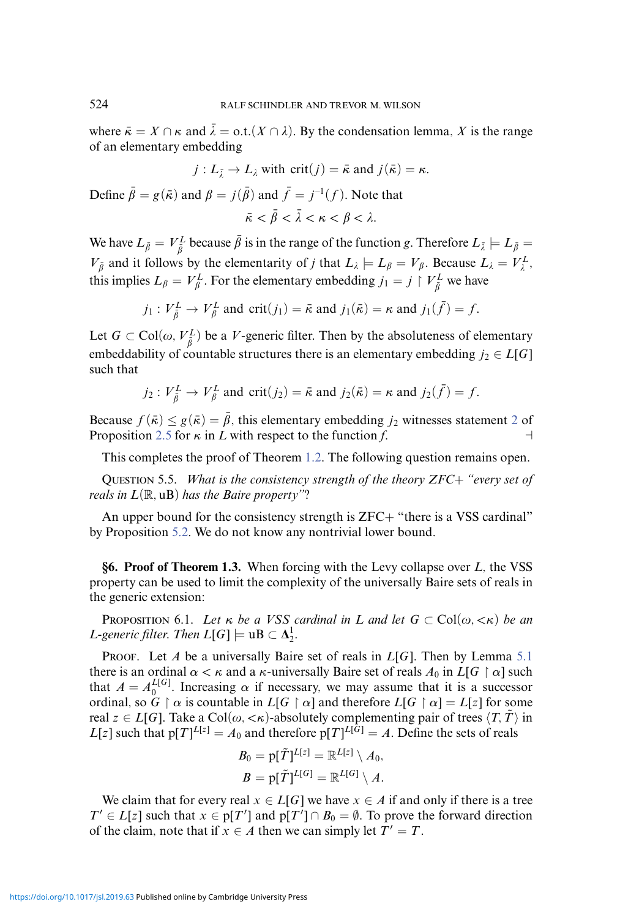where  $\bar{\kappa} = X \cap \kappa$  and  $\lambda = \text{o.t.}(X \cap \lambda)$ . By the condensation lemma, *X* is the range of an elementary embedding

$$
j: L_{\bar{\lambda}} \to L_{\lambda}
$$
 with  $crit(j) = \bar{\kappa}$  and  $j(\bar{\kappa}) = \kappa$ .

Define  $\bar{\beta} = g(\bar{\kappa})$  and  $\beta = j(\bar{\beta})$  and  $\bar{f} = j^{-1}(f)$ . Note that

 $\bar{\kappa} < \beta < \lambda < \kappa < \beta < \lambda$ .

We have  $L_{\bar{\beta}} = V_{\bar{\beta}}^L$  because  $\beta$  is in the range of the function *g*. Therefore  $L_{\bar{\lambda}} \models L_{\bar{\beta}} =$  $V_{\bar{\beta}}$  and it follows by the elementarity of *j* that  $L_{\lambda} \models L_{\beta} = V_{\beta}$ . Because  $L_{\lambda} = V_{\lambda}^L$ . this implies  $L_{\beta} = V_{\beta}^L$ . For the elementary embedding  $j_1 = j \restriction V_{\overline{\beta}}^L$  we have

$$
j_1: V_{\bar{\beta}}^L \to V_{\beta}^L
$$
 and  $crit(j_1) = \bar{\kappa}$  and  $j_1(\bar{\kappa}) = \kappa$  and  $j_1(\bar{f}) = f$ .

Let  $G \subset \text{Col}(\omega, V_{\overline{\beta}}^L)$  be a *V*-generic filter. Then by the absoluteness of elementary embeddability of countable structures there is an elementary embedding  $j_2 \in L[G]$ such that

$$
j_2: V_{\tilde{\beta}}^L \to V_{\beta}^L
$$
 and  $crit(j_2) = \bar{\kappa}$  and  $j_2(\bar{\kappa}) = \kappa$  and  $j_2(\bar{f}) = f$ .

Because  $f(\bar{\kappa}) \leq g(\bar{\kappa}) = \bar{\beta}$ , this elementary embedding *j*<sub>[2](#page-2-0)</sub> witnesses statement 2 of Proposition [2.5](#page-4-0) for  $\kappa$  in *L* with respect to the function *f*.

This completes the proof of Theorem [1.2.](#page-1-2) The following question remains open.

Question 5.5. *What is the consistency strength of the theory ZFC*+ *"every set of reals in L*(R*,* uB) *has the Baire property"?*

An upper bound for the consistency strength is  $ZFC+$  "there is a VSS cardinal" by Proposition [5.2.](#page-12-0) We do not know any nontrivial lower bound.

<span id="page-16-0"></span>**§6. Proof of Theorem 1.3.** When forcing with the Levy collapse over *L*, the VSS property can be used to limit the complexity of the universally Baire sets of reals in the generic extension:

<span id="page-16-1"></span>**PROPOSITION 6.1.** *Let*  $\kappa$  *be a VSS cardinal in L and let*  $G \subset \text{Col}(\omega, <\kappa)$  *be an L*-generic filter. Then  $L[G] \models \mathrm{uB} \subset \Delta^1_2$ .

PROOF. Let *A* be a universally Baire set of reals in *L*[*G*]. Then by Lemma [5.1](#page-11-1) there is an ordinal  $\alpha < \kappa$  and a  $\kappa$ -universally Baire set of reals  $A_0$  in  $L[G \restriction \alpha]$  such that  $A = A_0^{L[G]}$ . Increasing  $\alpha$  if necessary, we may assume that it is a successor ordinal, so  $G \restriction \alpha$  is countable in  $L[G \restriction \alpha]$  and therefore  $L[G \restriction \alpha] = L[z]$  for some real  $z \in L[G]$ . Take a  $Col(\omega, <\kappa)$ -absolutely complementing pair of trees  $\langle T, T \rangle$  in *L*[*z*] such that  $p[T]^{L[z]} = A_0$  and therefore  $p[T]^{L[G]} = A$ . Define the sets of reals

$$
B_0 = p[\tilde{T}]^{L[z]} = \mathbb{R}^{L[z]} \setminus A_0,
$$
  

$$
B = p[\tilde{T}]^{L[G]} = \mathbb{R}^{L[G]} \setminus A.
$$

We claim that for every real  $x \in L[G]$  we have  $x \in A$  if and only if there is a tree *T*<sup> $'$ </sup> ∈ *L*[*z*] such that *x* ∈ p[*T*<sup> $'$ </sup>] and p[*T*<sup> $'$ </sup>] ∩ *B*<sub>0</sub> = ∅. To prove the forward direction of the claim, note that if  $x \in A$  then we can simply let  $T' = T$ .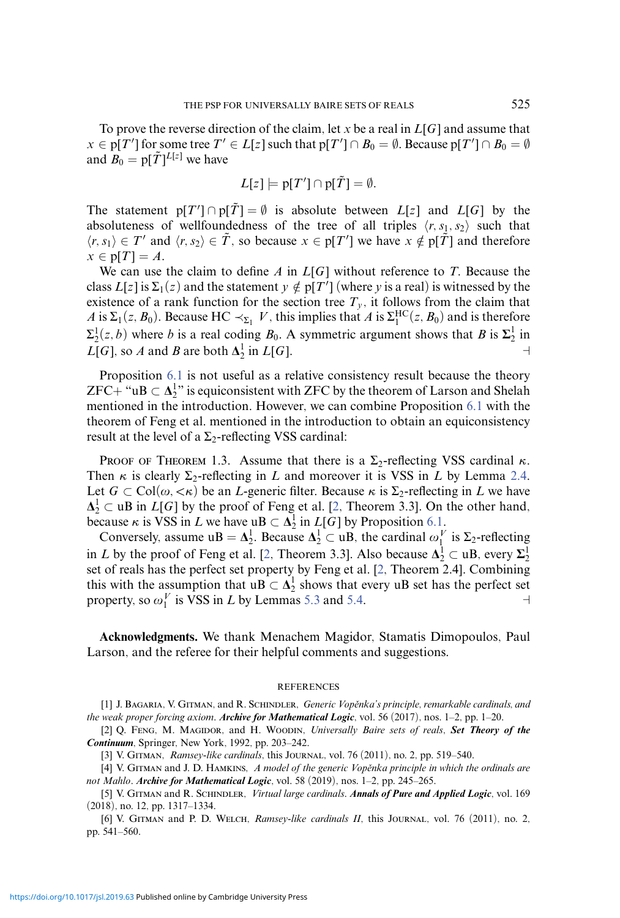To prove the reverse direction of the claim, let *x* be a real in *L*[*G*] and assume that  $x \in$  p[*T* $'$ ] for some tree  $T' \in L[z]$  such that p[*T'*]  $\cap$   $B_0 = \emptyset$ . Because p[*T'*]  $\cap$   $B_0 = \emptyset$ and  $B_0 = p[\tilde{T}]^{L[z]}$  we have

$$
L[z] \models p[T'] \cap p[T] = \emptyset.
$$

The statement  $p[T'] \cap p[T] = \emptyset$  is absolute between  $L[z]$  and  $L[G]$  by the absoluteness of wellfoundedness of the tree of all triples  $\langle r, s_1, s_2 \rangle$  such that  $\langle r, s_1 \rangle \in T'$  and  $\langle r, s_2 \rangle \in T$ , so because  $x \in p[T']$  we have  $x \notin p[T]$  and therefore  $x \in p[T] = A$ .

We can use the claim to define *A* in *L*[*G*] without reference to *T*. Because the class  $L[z]$  is  $\Sigma_1(z)$  and the statement  $y \notin p[T']$  (where  $y$  is a real) is witnessed by the existence of a rank function for the section tree  $T<sub>y</sub>$ , it follows from the claim that *A* is  $\Sigma_1(z, B_0)$ . Because HC  $\prec_{\Sigma_1} V$ , this implies that *A* is  $\Sigma_1^{\text{HC}}(z, B_0)$  and is therefore  $\Sigma_2^1(z, b)$  where *b* is a real coding *B*<sub>0</sub>. A symmetric argument shows that *B* is  $\Sigma_2^1$  in  $L[G]$ , so *A* and *B* are both  $\Delta^1$  in  $L[G]$ .

Proposition [6.1](#page-16-1) is not useful as a relative consistency result because the theory  $ZFC+$  "uB  $\subset \Delta_2^{1}$ " is equiconsistent with ZFC by the theorem of Larson and Shelah mentioned in the introduction. However, we can combine Proposition [6.1](#page-16-1) with the theorem of Feng et al. mentioned in the introduction to obtain an equiconsistency result at the level of a  $\Sigma_2$ -reflecting VSS cardinal:

PROOF OF THEOREM 1.3. Assume that there is a  $\Sigma_2$ -reflecting VSS cardinal  $\kappa$ . Then  $\kappa$  is clearly  $\Sigma_2$ -reflecting in *L* and moreover it is VSS in *L* by Lemma [2.4.](#page-4-2) Let  $G \subset \text{Col}(\omega, <\kappa)$  be an *L*-generic filter. Because  $\kappa$  is  $\Sigma_2$ -reflecting in *L* we have  $\Delta_2^1 \subset$  uB in *L*[*G*] by the proof of Feng et al. [\[2,](#page-17-0) Theorem 3.3]. On the other hand, because  $\kappa$  is VSS in *L* we have uB  $\subset \Delta^1$  in *L*[*G*] by Proposition [6.1.](#page-16-1)

Conversely, assume  $uB = \Delta_2^1$ . Because  $\Delta_2^1 \subset uB$ , the cardinal  $\omega_1^V$  is  $\Sigma_2$ -reflecting in *L* by the proof of Feng et al. [\[2,](#page-17-0) Theorem 3.3]. Also because  $\Lambda^1_2 \subset \text{uB}$ , every  $\Sigma^1_2$ set of reals has the perfect set property by Feng et al. [\[2,](#page-17-0) Theorem 2.4]. Combining this with the assumption that  $uB \subset \Delta_2^1$  shows that every  $uB$  set has the perfect set property, so  $\omega_1^V$  is VSS in *L* by Lemmas [5.3](#page-13-0) and [5.4.](#page-15-0)

**Acknowledgments.** We thank Menachem Magidor, Stamatis Dimopoulos, Paul Larson, and the referee for their helpful comments and suggestions.

## **REFERENCES**

<span id="page-17-1"></span>[1] J. Bagaria, V. Gitman, and R. Schindler, *Generic Vopenka's principle, remarkable cardinals, and ˇ the weak proper forcing axiom*. *Archive for Mathematical Logic*, vol. 56 (2017), nos. 1–2, pp. 1–20.

<span id="page-17-0"></span>[2] Q. FENG, M. MAGIDOR, and H. WOODIN, *Universally Baire sets of reals*, *Set Theory of the Continuum*, Springer, New York, 1992, pp. 203–242.

[3] V. GITMAN, *Ramsey-like cardinals*, this JOURNAL, vol. 76 (2011), no. 2, pp. 519–540.

<span id="page-17-5"></span><span id="page-17-3"></span>[4] V. Gitman and J. D. Hamkins, *A model of the generic Vopenka principle in which the ordinals are ˇ not Mahlo*. *Archive for Mathematical Logic*, vol. 58 (2019), nos. 1–2, pp. 245–265.

<span id="page-17-2"></span>[5] V. GITMAN and R. SCHINDLER, *Virtual large cardinals*. *Annals of Pure and Applied Logic*, vol. 169 (2018), no. 12, pp. 1317–1334.

<span id="page-17-4"></span>[6] V. Gitman and P. D. Welch, *Ramsey-like cardinals II*, this Journal, vol. 76 (2011), no. 2, pp. 541–560.